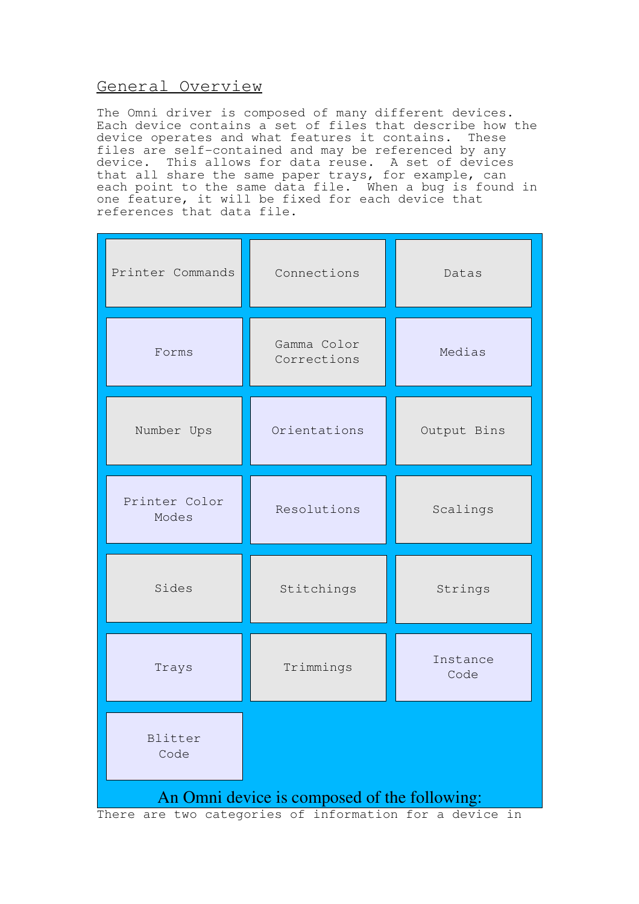# General Overview

The Omni driver is composed of many different devices. Each device contains a set of files that describe how the device operates and what features it contains. These files are self-contained and may be referenced by any device. This allows for data reuse. A set of devices that all share the same paper trays, for example, can each point to the same data file. When a bug is found in one feature, it will be fixed for each device that references that data file.

| Printer Commands                                                                                        | Connections                | Datas            |
|---------------------------------------------------------------------------------------------------------|----------------------------|------------------|
| Forms                                                                                                   | Gamma Color<br>Corrections | Medias           |
| Number Ups                                                                                              | Orientations               | Output Bins      |
| Printer Color<br>Modes                                                                                  | Resolutions                | Scalings         |
| Sides                                                                                                   | Stitchings                 | Strings          |
| Trays                                                                                                   | Trimmings                  | Instance<br>Code |
| Blitter<br>Code                                                                                         |                            |                  |
| An Omni device is composed of the following:<br>There are two categories of information for a device in |                            |                  |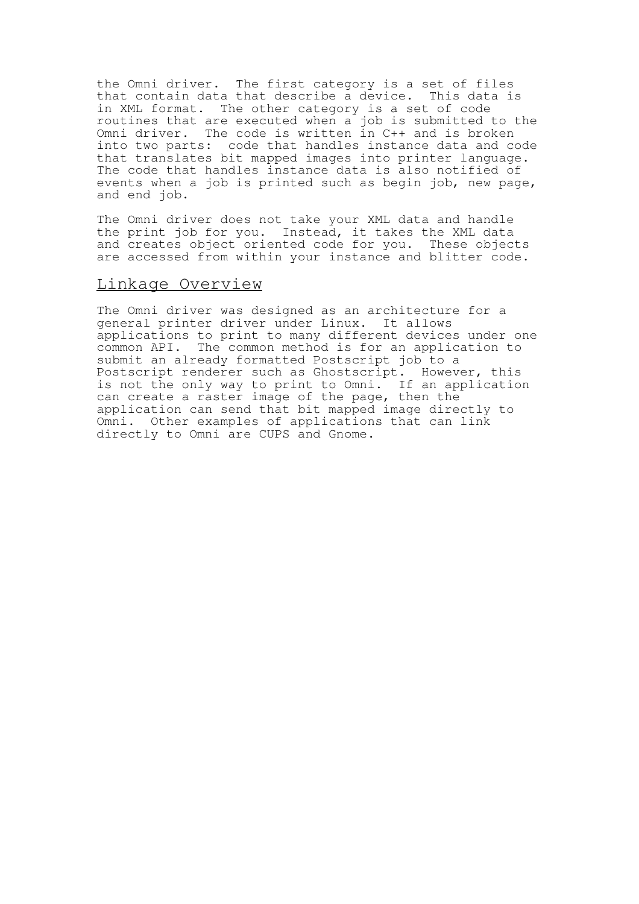the Omni driver. The first category is a set of files that contain data that describe a device. This data is in XML format. The other category is a set of code routines that are executed when a job is submitted to the Omni driver. The code is written in C++ and is broken into two parts: code that handles instance data and code that translates bit mapped images into printer language. The code that handles instance data is also notified of events when a job is printed such as begin job, new page, and end job.

The Omni driver does not take your XML data and handle the print job for you. Instead, it takes the XML data and creates object oriented code for you. These objects are accessed from within your instance and blitter code.

## Linkage Overview

The Omni driver was designed as an architecture for a general printer driver under Linux. It allows applications to print to many different devices under one common API. The common method is for an application to submit an already formatted Postscript job to a Postscript renderer such as Ghostscript. However, this is not the only way to print to Omni. If an application can create a raster image of the page, then the application can send that bit mapped image directly to Omni. Other examples of applications that can link directly to Omni are CUPS and Gnome.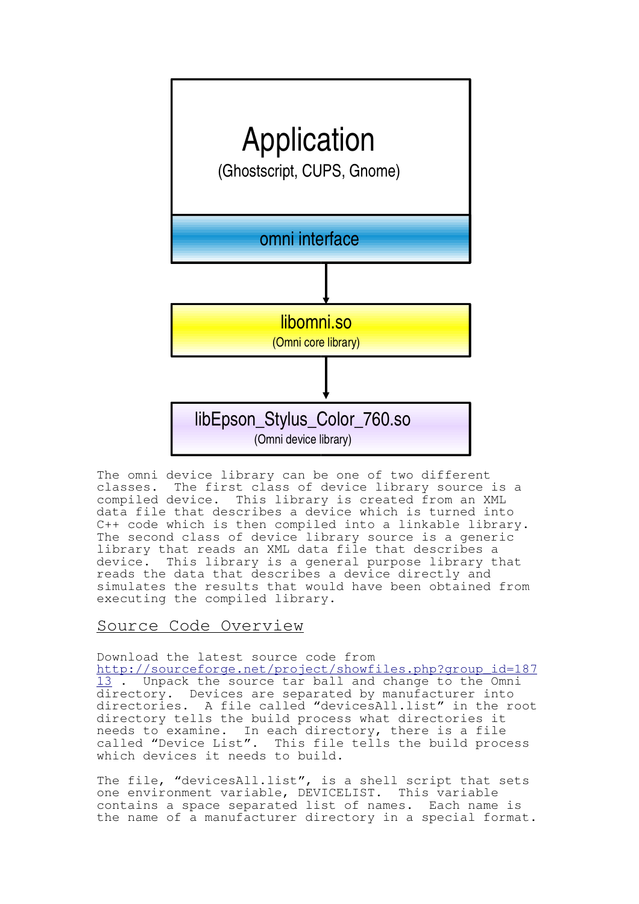

The omni device library can be one of two different classes. The first class of device library source is a compiled device. This library is created from an XML data file that describes a device which is turned into C++ code which is then compiled into a linkable library. The second class of device library source is a generic library that reads an XML data file that describes a<br>device. This library is a general purpose library t This library is a general purpose library that reads the data that describes a device directly and simulates the results that would have been obtained from executing the compiled library.

## Source Code Overview

Download the latest source code from

http://sourceforge.net/project/showfiles.php?group\_id=187 13. Unpack the source tar ball and change to the Omni directory. Devices are separated by manufacturer into directories. A file called "devicesAll.list" in the root directory tells the build process what directories it needs to examine. In each directory, there is a file called "Device List". This file tells the build process which devices it needs to build.

The file, "devicesAll.list", is a shell script that sets one environment variable, DEVICELIST. This variable contains a space separated list of names. Each name is the name of a manufacturer directory in a special format.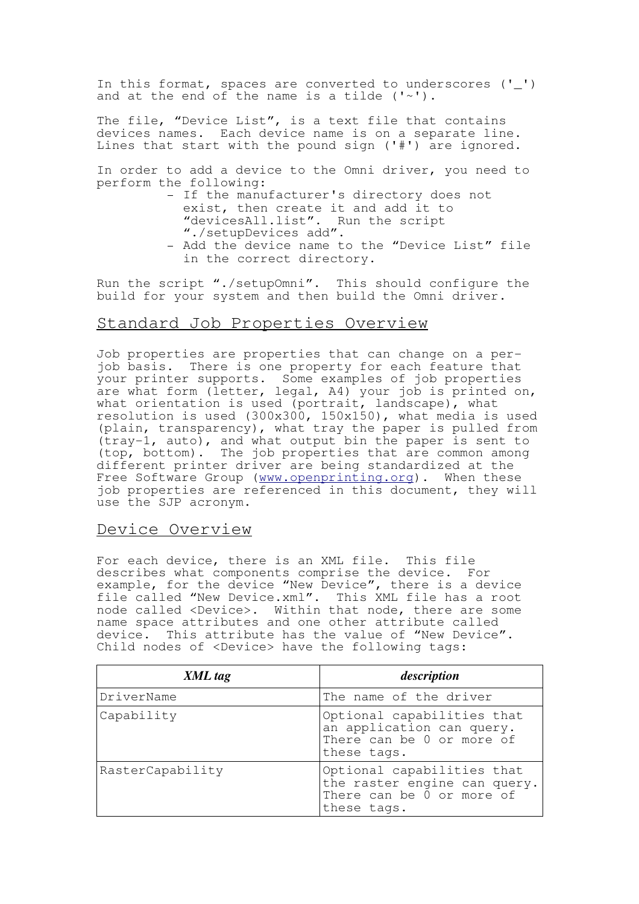In this format, spaces are converted to underscores ('\_') and at the end of the name is a tilde  $('~'')$ .

The file, "Device List", is a text file that contains devices names. Each device name is on a separate line. Lines that start with the pound sign ('#') are ignored.

In order to add a device to the Omni driver, you need to perform the following:

- If the manufacturer's directory does not exist, then create it and add it to "devicesAll.list". Run the script "./setupDevices add". - Add the device name to the "Device List" file
- in the correct directory.

Run the script "./setupOmni". This should configure the build for your system and then build the Omni driver.

# Standard Job Properties Overview

Job properties are properties that can change on a perjob basis. There is one property for each feature that your printer supports. Some examples of job properties are what form (letter, legal, A4) your job is printed on, what orientation is used (portrait, landscape), what resolution is used (300x300, 150x150), what media is used (plain, transparency), what tray the paper is pulled from (tray-1, auto), and what output bin the paper is sent to (top, bottom). The job properties that are common among different printer driver are being standardized at the Free Software Group (www.openprinting.org). When these job properties are referenced in this document, they will use the SJP acronym.

## Device Overview

For each device, there is an XML file. This file describes what components comprise the device. For example, for the device "New Device", there is a device file called "New Device.xml". This XML file has a root node called <Device>. Within that node, there are some name space attributes and one other attribute called device. This attribute has the value of "New Device". Child nodes of <Device> have the following tags:

| XML tag          | description                                                                                            |
|------------------|--------------------------------------------------------------------------------------------------------|
| DriverName       | The name of the driver                                                                                 |
| Capability       | Optional capabilities that<br>an application can query.<br>There can be 0 or more of<br>these tags.    |
| RasterCapability | Optional capabilities that<br>the raster engine can query.<br>There can be 0 or more of<br>these tags. |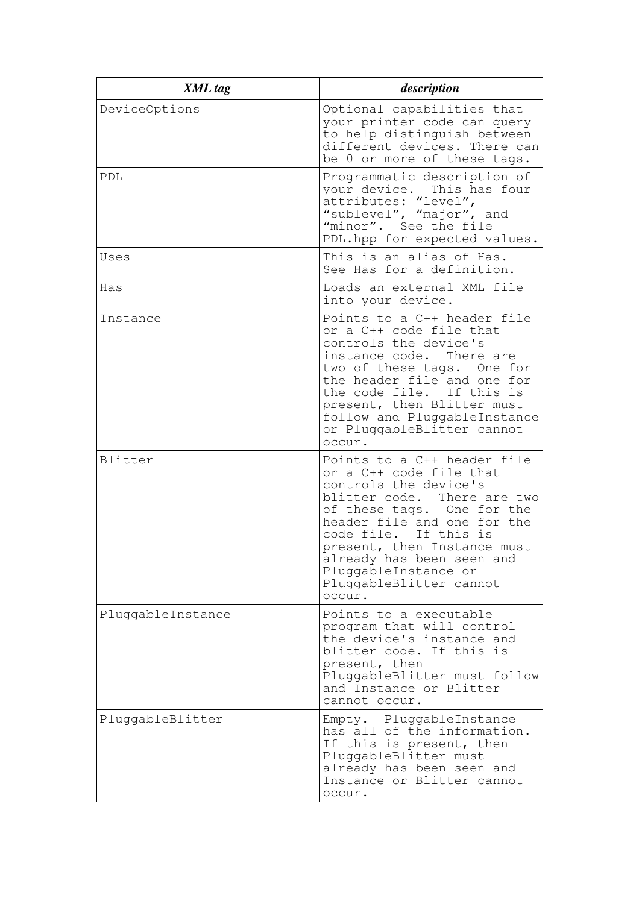| XML tag           | description                                                                                                                                                                                                                                                                                                                      |
|-------------------|----------------------------------------------------------------------------------------------------------------------------------------------------------------------------------------------------------------------------------------------------------------------------------------------------------------------------------|
| DeviceOptions     | Optional capabilities that<br>your printer code can query<br>to help distinguish between<br>different devices. There can<br>be 0 or more of these tags.                                                                                                                                                                          |
| PDL               | Programmatic description of<br>your device. This has four<br>attributes: "level",<br>"sublevel", "major", and<br>"minor". See the file<br>PDL.hpp for expected values.                                                                                                                                                           |
| Uses              | This is an alias of Has.<br>See Has for a definition.                                                                                                                                                                                                                                                                            |
| Has               | Loads an external XML file<br>into your device.                                                                                                                                                                                                                                                                                  |
| Instance          | Points to a C++ header file<br>or a C++ code file that<br>controls the device's<br>instance code.<br>There are<br>two of these tags. One for<br>the header file and one for<br>the code file. If this is<br>present, then Blitter must<br>follow and PluggableInstance<br>or PluggableBlitter cannot<br>occur.                   |
| Blitter           | Points to a C++ header file<br>or a C++ code file that<br>controls the device's<br>blitter code. There are two<br>of these tags. One for the<br>header file and one for the<br>If this is<br>code file.<br>present, then Instance must<br>already has been seen and<br>PluggableInstance or<br>PluggableBlitter cannot<br>occur. |
| PluggableInstance | Points to a executable<br>program that will control<br>the device's instance and<br>blitter code. If this is<br>present, then<br>PluggableBlitter must follow<br>and Instance or Blitter<br>cannot occur.                                                                                                                        |
| PluggableBlitter  | Empty. PluggableInstance<br>has all of the information.<br>If this is present, then<br>PluggableBlitter must<br>already has been seen and<br>Instance or Blitter cannot<br>occur.                                                                                                                                                |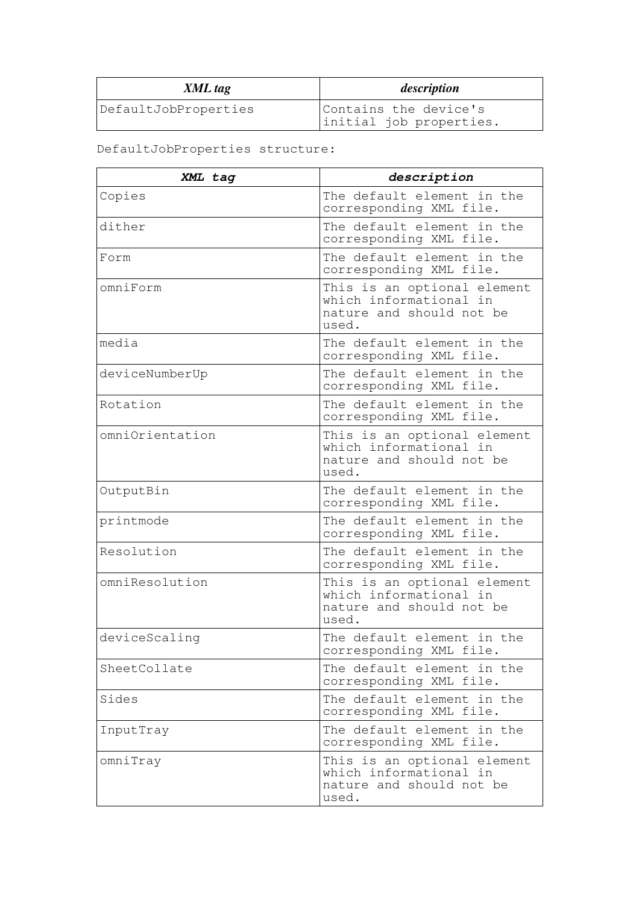| XML tag              | description                                      |
|----------------------|--------------------------------------------------|
| DefaultJobProperties | Contains the device's<br>initial job properties. |

# DefaultJobProperties structure:

| XML tag         | description                                                                                |
|-----------------|--------------------------------------------------------------------------------------------|
| Copies          | The default element in the<br>corresponding XML file.                                      |
| dither          | The default element in the<br>corresponding XML file.                                      |
| Form            | The default element in the<br>corresponding XML file.                                      |
| omniForm        | This is an optional element<br>which informational in<br>nature and should not be<br>used. |
| media           | The default element in the<br>corresponding XML file.                                      |
| deviceNumberUp  | The default element in the<br>corresponding XML file.                                      |
| Rotation        | The default element in the<br>corresponding XML file.                                      |
| omniOrientation | This is an optional element<br>which informational in<br>nature and should not be<br>used. |
| OutputBin       | The default element in the<br>corresponding XML file.                                      |
| printmode       | The default element in the<br>corresponding XML file.                                      |
| Resolution      | The default element in the<br>corresponding XML file.                                      |
| omniResolution  | This is an optional element<br>which informational in<br>nature and should not be<br>used. |
| deviceScaling   | The default element in the<br>corresponding XML file.                                      |
| SheetCollate    | The default element in the<br>corresponding XML file.                                      |
| Sides           | The default element in the<br>corresponding XML file.                                      |
| InputTray       | The default element in the<br>corresponding XML file.                                      |
| omniTray        | This is an optional element<br>which informational in<br>nature and should not be<br>used. |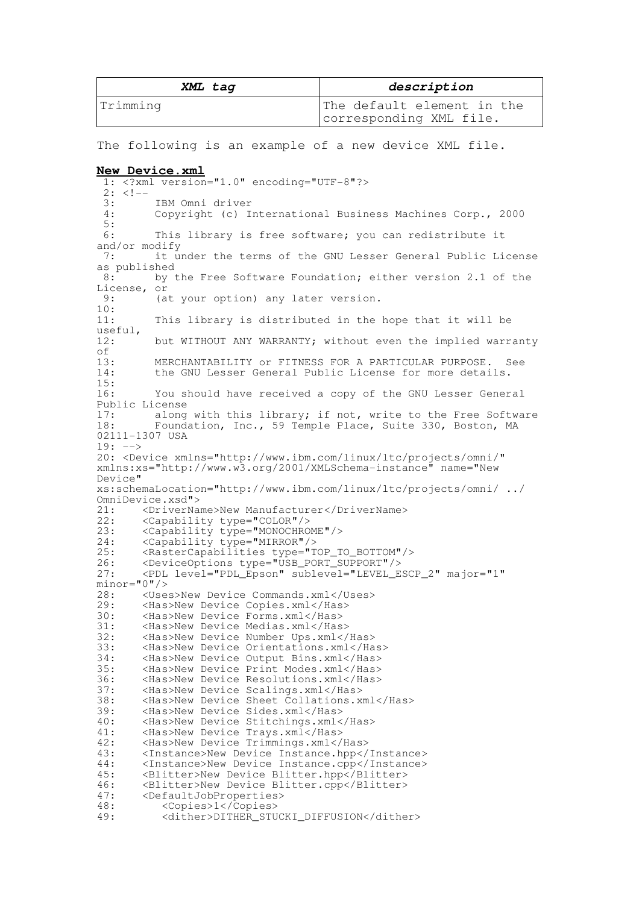| XML tag  | description                                           |
|----------|-------------------------------------------------------|
| Trimming | The default element in the<br>corresponding XML file. |

The following is an example of a new device XML file.

#### **New Device.xml**

1: <?xml version="1.0" encoding="UTF-8"?>  $2: <!--</math>$ 3: IBM Omni driver<br>4: Copyright (c) I Copyright (c) International Business Machines Corp., 2000  $\frac{5}{6}$ : This library is free software; you can redistribute it and/or modify<br> $7 \cdot 11 \cdot 11$ it under the terms of the GNU Lesser General Public License as published<br>8: by by the Free Software Foundation; either version 2.1 of the License, or<br>9: (a (at your option) any later version.  $\frac{10}{11}$ : This library is distributed in the hope that it will be useful,<br>12: but WITHOUT ANY WARRANTY; without even the implied warranty of<br>13: 13: MERCHANTABILITY or FITNESS FOR A PARTICULAR PURPOSE. See<br>14: the GNU Lesser General Public License for more details. the GNU Lesser General Public License for more details.  $\frac{15}{16}$ : You should have received a copy of the GNU Lesser General Public License<br>17: along along with this library; if not, write to the Free Software 18: Foundation, Inc., 59 Temple Place, Suite 330, Boston, MA 02111-1307 USA 19: --> 20: <Device xmlns="http://www.ibm.com/linux/ltc/projects/omni/" xmlns:xs="http://www.w3.org/2001/XMLSchema-instance" name="New Device" xs:schemaLocation="http://www.ibm.com/linux/ltc/projects/omni/ ../ OmniDevice.xsd"> 21: <DriverName>New Manufacturer</DriverName> 22: <Capability type="COLOR"/><br>23: <Capability type="MONOCHRO 23:  $\langle$ Capability type="MONOCHROME"/><br>24:  $\langle$ Capability type="MIRROR"/> 24: <Capability type="MIRROR"/><br>25: <RasterCapabilities type="T 25: <RasterCapabilities type="TOP\_TO\_BOTTOM"/><br>26: <DeviceOptions type="USB PORT SUPPORT"/> 26: <DeviceOptions type="USB\_PORT\_SUPPORT"/> 27: <PDL level="PDL\_Epson" sublevel="LEVEL\_ESCP\_2" major="1"  $minor="0"$ /><br>28: <Use 28: < Uses>New Device Commands.xml</Uses><br>29: < Has>New Device Copies.xml</Has> 29: <has>New Device Copies.xml</has><br>30: <has>New Device Forms.xml</has> 30: <Has>New Device Forms.xml</Has> 31: <Has>New Device Medias.xml</Has> 32: <Has>New Device Number Ups.xml</Has> 33: <Has>New Device Orientations.xml</Has> 34: <Has>New Device Output Bins.xml</Has> 35: <has>New Device Print Modes.xml</has><br>36: <has>New Device Resolutions.xml</has> 36: <Has>New Device Resolutions.xml</Has> 37: <Has>New Device Scalings.xml</Has><br>38: <Has>New Device Sheet Collations.x 38: <has>New Device Sheet Collations.xml</has><br>39: <has>New Device Sides.xml</has> 39: <has>New Device Sides.xml</has>40: <has>New Device Stitchings.xml< 40: <has>New Device Stitchings.xml</has><br>41: <has>New Device Trays.xml</has> 41: <Has>New Device Trays.xml</Has> 42: <has>New Device Trimmings.xml</has><br>43: </hastance>New Device Instance.hpp</ 43: <Instance>New Device Instance.hpp</Instance> 44: <Instance>New Device Instance.cpp</Instance> 45: <Blitter>New Device Blitter.hpp</Blitter> 46: <Blitter>New Device Blitter.cpp</Blitter> 47: <DefaultJobProperties><br>48: <copies>1</copies> 48: <Copies>1</Copies><br>49: <dither>DITHER STU 49: <dither>DITHER\_STUCKI\_DIFFUSION</dither>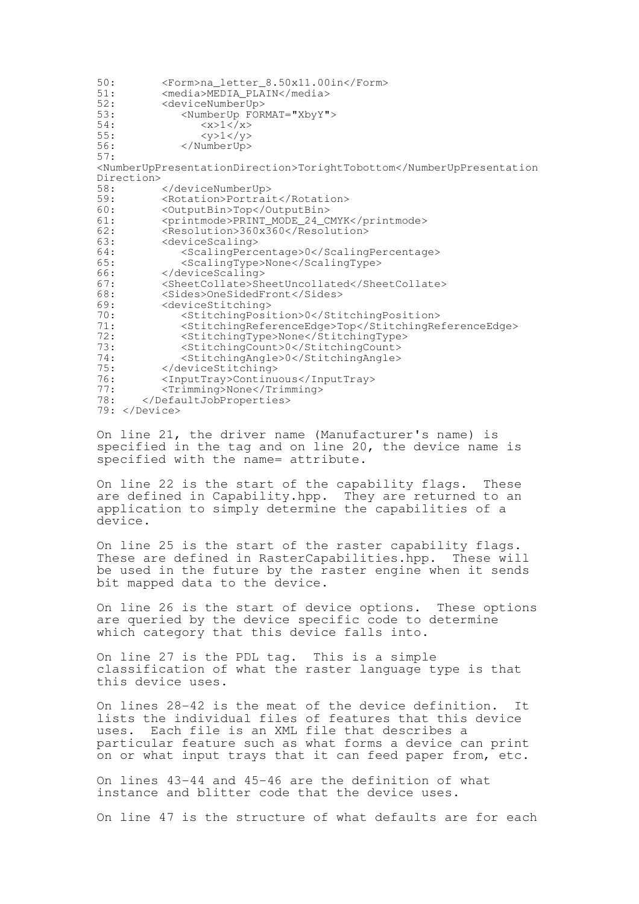50: <Form>na\_letter\_8.50x11.00in</Form><br>51: <media>MEDIA PLAIN</media> 51: <media>MEDIA\_PLAIN</media><br>52: <deviceNumberUp> 52: <deviceNumberUp><br>53: <NumberUp FOR 53: <NumberUp FORMAT="XbyY"><br>54: <x>1</x> 54:  $\langle x \rangle 1 \langle x \rangle$ <br>55:  $\langle y \rangle 1 \langle y \rangle$  $<$ y>1 $<$ /y> 56: </NumberUp> 57: <NumberUpPresentationDirection>TorightTobottom</NumberUpPresentation Direction><br>58: 58: </deviceNumberUp><br>59: <Rotation>Portrai 59: <Rotation>Portrait</Rotation> 60: <OutputBin>Top</OutputBin> 61: <printmode>PRINT\_MODE\_24\_CMYK</printmode><br>62: <Resolution>360x360</Resolution> 62: <Resolution>360x360</Resolution><br>63: <deviceScaling> 63: <deviceScaling><br>64: <scalingPerc 64: <ScalingPercentage>0</ScalingPercentage> 65: <ScalingType>None</ScalingType> 66: </deviceScaling><br>67: </sheetCollate>Sh 67: <SheetCollate>SheetUncollated</SheetCollate> 68: <Sides>OneSidedFront</Sides> 69: <deviceStitching><br>70: <stitchingPosi 70: <StitchingPosition>0</StitchingPosition> 71: <StitchingReferenceEdge>Top</StitchingReferenceEdge> 72: <StitchingType>None</StitchingType> 73: < StitchingCount>0</StitchingCount>74: < StitchingAngle>0</StitchingAngle> 74: <StitchingAngle>0</StitchingAngle> </deviceStitching> 76: <InputTray>Continuous</InputTray><br>77: <Trimming>None</Trimming> 77: <Trimming>None</Trimming><br>78: </DefaultJobProperties> </DefaultJobProperties> 79: </Device>

On line 21, the driver name (Manufacturer's name) is specified in the tag and on line 20, the device name is specified with the name= attribute.

On line 22 is the start of the capability flags. These are defined in Capability.hpp. They are returned to an application to simply determine the capabilities of a device.

On line 25 is the start of the raster capability flags. These are defined in RasterCapabilities.hpp. These will be used in the future by the raster engine when it sends bit mapped data to the device.

On line 26 is the start of device options. These options are queried by the device specific code to determine which category that this device falls into.

On line 27 is the PDL tag. This is a simple classification of what the raster language type is that this device uses.

On lines 28-42 is the meat of the device definition. It lists the individual files of features that this device uses. Each file is an XML file that describes a particular feature such as what forms a device can print on or what input trays that it can feed paper from, etc.

On lines 43-44 and 45-46 are the definition of what instance and blitter code that the device uses.

On line 47 is the structure of what defaults are for each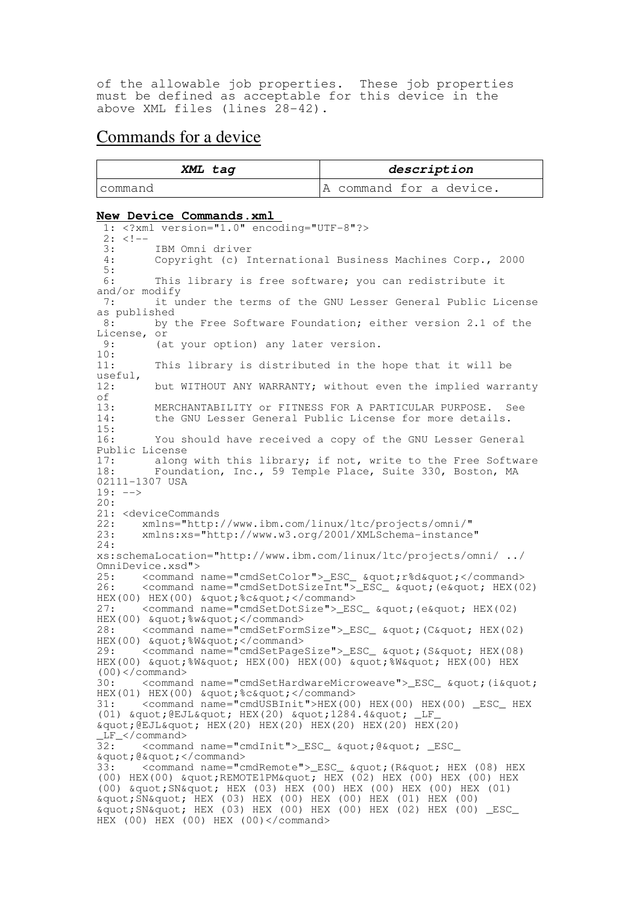of the allowable job properties. These job properties must be defined as acceptable for this device in the above XML files (lines 28-42).

# Commands for a device

| XML tag  | description             |
|----------|-------------------------|
| Icommand | A command for a device. |

#### **New Device Commands.xml**

1: <?xml version="1.0" encoding="UTF-8"?>  $2: <!--</math>$ 3: IBM Omni driver<br>4: Copyright (c) I Copyright (c) International Business Machines Corp., 2000  $\frac{5}{6}$ : This library is free software; you can redistribute it and/or modify<br>7:  $\frac{1}{1}$  it u it under the terms of the GNU Lesser General Public License as published<br> $\frac{8}{10}$  by t by the Free Software Foundation; either version 2.1 of the License, or  $9: 6^{\circ}$ (at your option) any later version. 10: 11: This library is distributed in the hope that it will be useful,<br>12: but WITHOUT ANY WARRANTY; without even the implied warranty of<br> $13:$ 13: MERCHANTABILITY or FITNESS FOR A PARTICULAR PURPOSE. See<br>14: the GNU Lesser General Public License for more details. the GNU Lesser General Public License for more details.  $\frac{15}{16}$ : You should have received a copy of the GNU Lesser General Public License<br>17: along 17: along with this library; if not, write to the Free Software<br>18: Foundation, Inc., 59 Temple Place, Suite 330, Boston, MA Foundation, Inc., 59 Temple Place, Suite 330, Boston, MA 02111-1307 USA  $19: ---$ 20: 21: <deviceCommands<br>22: xmlns="http: 22: xmlns="http://www.ibm.com/linux/ltc/projects/omni/" 23: xmlns:xs="http://www.w3.org/2001/XMLSchema-instance" 24: xs:schemaLocation="http://www.ibm.com/linux/ltc/projects/omni/ ../ OmniDevice.xsd"> 25: <command name="cmdSetColor">\_ESC\_ &quot;r%d&quot;</command> 26: <command name="cmdSetDotSizeInt">\_ESC\_ &quot; (e&quot; HEX(02)  $HEX(00) HEX(00) \& Quot; %c\" 27: *command name="cmdSetDotSize" > ES*$ <command name="cmdSetDotSize"> ESC &quot; (e&quot; HEX(02) HEX(00) & quot; % w & quot; </ command> 28: <command name="cmdSetFormSize">\_ESC\_ &quot; (C&quot; HEX(02) HEX(00) & quot; %W& quot; </ command> 29: <command name="cmdSetPageSize">\_ESC\_ &quot; (S&quot; HEX(08) HEX(00) "%W" HEX(00) HEX(00) "%W" HEX(00) HEX  $(00)command>$ 30: < command name="cmdSetHardwareMicroweave">\_ESC\_ &quot; (i&quot; HEX(01) HEX(00) & quot;%c& quot;</command> 31: <command name="cmdUSBInit">HEX(00) HEX(00) HEX(00) \_ESC\_ HEX (01) & quot; @EJL" HEX(20) & quot; 1284.4& quot; \_LF\_  $\text{Equot}; \overline{\text{EJL}}$   $\text{Equot}; \overline{\text{HEX}}(20)$  HEX(20) HEX(20) HEX(20)  $LF_{\text{S}}$  / command><br>32:  $\frac{1}{2}$  < comman <command name="cmdInit">\_ESC\_ &quot;@&quot; \_ESC\_ & quot; @ & quot; </ command><br>33: < command name=" c <command name="cmdRemote">\_ESC\_ &quot; (R&quot; HEX (08) HEX (00) HEX(00) & quot; REMOTE1PM & quot; HEX (02) HEX (00) HEX (00) HEX (00)  $\text{arguot}; \text{SNquot}; \text{ HEX}$  (03) HEX (00) HEX (00) HEX (00) HEX (01)  $\omega$  squot;  $\overline{S}N\omega$  (03)  $\overline{H}EX$  (00)  $\overline{H}EX$  (00)  $\overline{H}EX$  (01)  $\overline{H}EX$  (00)  $\text{Equot}; \text{SN}\$  HEX (03) HEX (00) HEX (00) HEX (02) HEX (00) \_ESC\_ HEX (00) HEX (00) HEX (00)</command>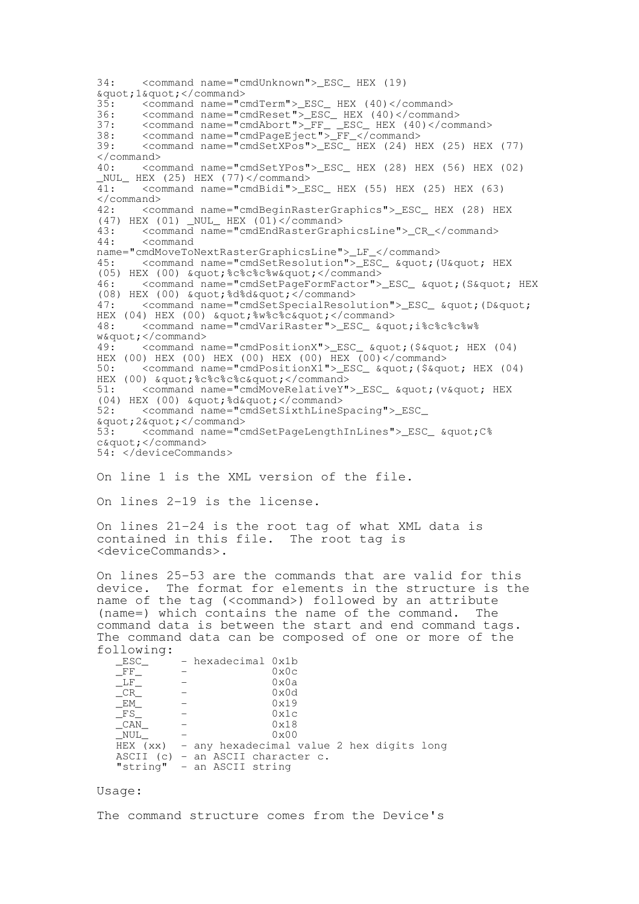34: <command name="cmdUnknown">\_ESC\_ HEX (19) %quot;1%quot;</command><br>35: <command name="c 35: <command name="cmdTerm">\_ESC\_ HEX (40)</command> 36: <command name="cmdReset">\_ESC\_ HEX (40)</command> 37: <command name="cmdAbort">\_FF\_ \_ESC\_ HEX (40)</command> 38: <command name="cmdPageEject">\_FF\_</command> 39: <command name="cmdSetXPos">\_ESC\_ HEX (24) HEX (25) HEX (77) </command> 40: <command name="cmdSetYPos">\_ESC\_ HEX (28) HEX (56) HEX (02)  $\frac{NUL}{41}$  HEX (25) HEX (77) </command><br>41: <command name="cmdBidi">\_E 41: <command name="cmdBidi">\_ESC\_ HEX (55) HEX (25) HEX (63)  $\langle$ /command><br>42:  $\langle$ co 42: <command name="cmdBeginRasterGraphics">\_ESC\_ HEX (28) HEX (47) HEX (01) \_NUL\_ HEX (01)</command><br>43: <command name="cmdEndRasterGrap 43: <command name="cmdEndRasterGraphicsLine">\_CR\_</command> 44: <command name="cmdMoveToNextRasterGraphicsLine">\_LF\_</command>45;  $\overline{\text{13}}$  <command name="cmdSetResolution">\_ESC\_ &quot; (U&quot; HEX  $(05)$  HEX  $(00)$   $&$ quot;  $&$ c $&$ c $&$ c $&$ w $&$ quot; </command> 46: <command name="cmdSetPageFormFactor">\_ESC\_ &quot; (S&quot; HEX  $(08)$  HEX  $(00)$   $\&$ quot;  $\&$ d $\&$ d $\&$ quot;  $\&$ /command name="cmdSetSpecialResol <command name="cmdSetSpecialResolution">\_ESC\_ &quot; (D&quot; HEX (04) HEX (00) & quot; %w%c%c" </command> 48: <command name="cmdVariRaster"> ESC & quote <command name="cmdVariRaster">\_ESC\_ &quot;i%c%c%c%w%  $w\"$ <br>49. <command n 49: <command name="cmdPositionX">\_ESC\_ "(\$" HEX (04) HEX (00) HEX (00) HEX (00) HEX (00) HEX (00)</command><br>50: <command name="cmdPositionX1">\_ESC\_ &quot; (\$&qu <command name="cmdPositionX1">\_ESC\_ &quot; (\$&quot; HEX (04) HEX (00) "%c%c%c%c"</command><br>51: <command name="cmdMoveRelativeY" <command name="cmdMoveRelativeY">\_ESC\_ &quot; (v&quot; HEX  $(04)$  HEX  $(00)$   $\&$ quot;  $\&$ d $\&$ quot; </command<br>52: <command name="cmdSetSixthLineS; 52: <command name="cmdSetSixthLineSpacing">\_ESC\_ %quot;2%quot;</command><br>53: <command name="c 53: <command name="cmdSetPageLengthInLines">\_ESC\_ "C% c&quot:</command> 54: </deviceCommands> On line 1 is the XML version of the file. On lines 2-19 is the license. On lines 21-24 is the root tag of what XML data is contained in this file. The root tag is <deviceCommands>. On lines 25-53 are the commands that are valid for this device. The format for elements in the structure is the name of the tag (<command>) followed by an attribute (name=) which contains the name of the command. The command data is between the start and end command tags. The command data can be composed of one or more of the following:<br>\_ESC\_ - hexadecimal  $0x1b$ <br>-  $0x0c$  $\begin{array}{ccc} -FF & - & 0 \times 0 \subset \\ -LF & - & 0 \times 0 \end{array}$  $\begin{array}{ccc}\n\begin{array}{ccc}\n-LF & - & \phantom{00} & 0 \times 0a \\
CR & - & \phantom{000} & 0 \times 0d\n\end{array}\n\end{array}$  $-CR$  -  $R$ <sup>N</sup>  $\begin{array}{ccc} \boxed{EM} & - & 0 \times 19 \\ \text{FS} & - & 0 \times 1c \end{array}$  $-FS_$  -  $CAN$  - $\begin{array}{ccc}\n\text{CAN} & - & \text{OX18} \\
\text{NULL} & - & \text{Ox18} \\
\end{array}$ \_NUL\_ - 0x00 HEX (xx) - any hexadecimal value 2 hex digits long ASCII (c) - an ASCII character c. "string" - an ASCII string

Usage:

The command structure comes from the Device's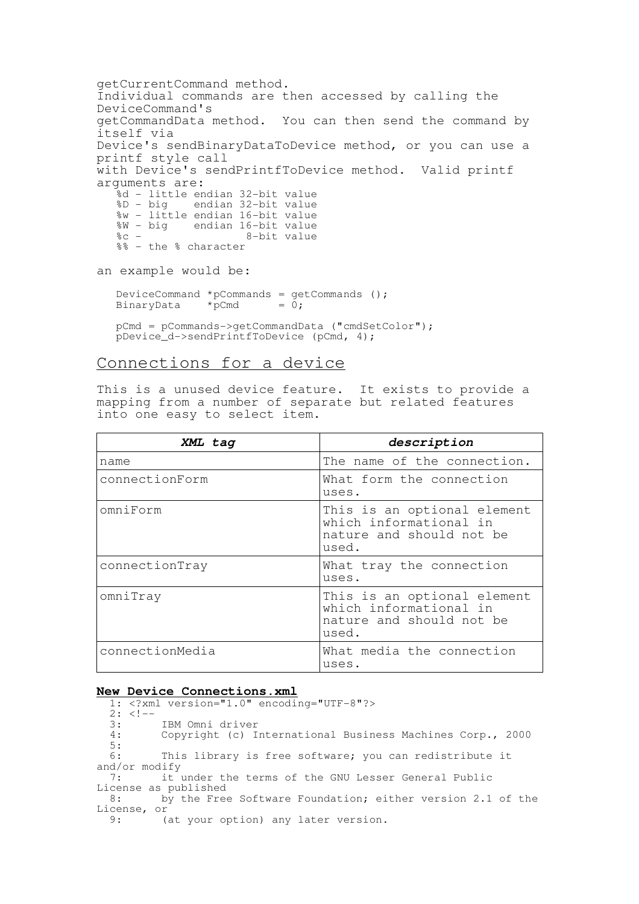getCurrentCommand method. Individual commands are then accessed by calling the DeviceCommand's getCommandData method. You can then send the command by itself via Device's sendBinaryDataToDevice method, or you can use a printf style call with Device's sendPrintfToDevice method. Valid printf arguments are: %d - little endian 32-bit value<br>%D - big endian 32-bit value endian 32-bit value %w - little endian 16-bit value %W - big endian 16-bit value<br>%c - 8-bit value %c - 8-bit value %% - the % character an example would be: DeviceCommand \*pCommands = getCommands ();<br>BinaryData \*pCmd = 0; BinaryData pCmd = pCommands->getCommandData ("cmdSetColor"); pDevice\_d->sendPrintfToDevice (pCmd, 4);

## Connections for a device

This is a unused device feature. It exists to provide a mapping from a number of separate but related features into one easy to select item.

| XML tag         | description                                                                                |
|-----------------|--------------------------------------------------------------------------------------------|
| name            | The name of the connection.                                                                |
| connectionForm  | What form the connection<br>uses.                                                          |
| omniForm        | This is an optional element<br>which informational in<br>nature and should not be<br>used. |
| connectionTray  | What tray the connection<br>uses.                                                          |
| omniTray        | This is an optional element<br>which informational in<br>nature and should not be<br>used. |
| connectionMedia | What media the connection<br>uses.                                                         |

### **New Device Connections.xml**

1: <?xml version="1.0" encoding="UTF-8"?>  $2: <!--</math><br>3:$ 3: IBM Omni driver<br>4: Copyright (c) I Copyright (c) International Business Machines Corp., 2000  $\frac{5}{6}$ : This library is free software; you can redistribute it and/or modify 7: it under the terms of the GNU Lesser General Public License as published 8: by the Free Software Foundation; either version 2.1 of the License, or<br>9: (at your option) any later version.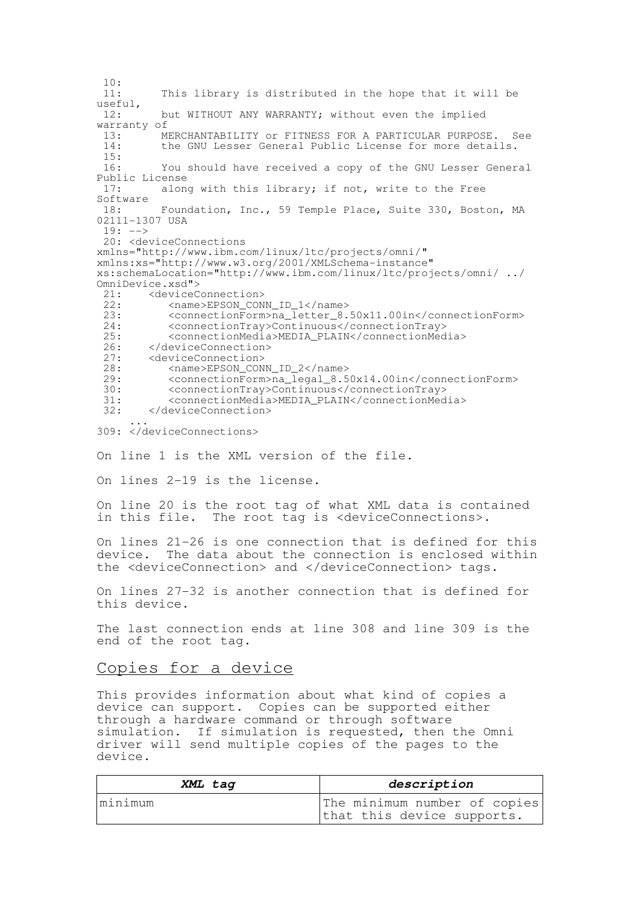$\frac{10}{11}$ This library is distributed in the hope that it will be useful,<br> $12 \cdot$ but WITHOUT ANY WARRANTY: without even the implied warranty of<br> $13:$  M MERCHANTABILITY or FITNESS FOR A PARTICULAR PURPOSE. See 14: the GNU Lesser General Public License for more details. 15: 16: You should have received a copy of the GNU Lesser General Public License 17: along with this library; if not, write to the Free Software 18: Foundation, Inc., 59 Temple Place, Suite 330, Boston, MA 02111-1307 USA  $19: ---$ 20: <deviceConnections xmlns="http://www.ibm.com/linux/ltc/projects/omni/" xmlns:xs="http://www.w3.org/2001/XMLSchema-instance" xs:schemaLocation="http://www.ibm.com/linux/ltc/projects/omni/ ../ OmniDevice.xsd"> 21: <deviceConnection><br>22: <name>EPSON CON 22: <name>EPSON\_CONN\_ID\_1</name><br>23: <connectionForm>naletter 8 23: <connectionForm>na\_letter\_8.50x11.00in</connectionForm><br>24: <connectionTrav>Continuous</connectionTrav> 24: <connectionTray>Continuous</connectionTray> 25: <connectionMedia>MEDIA\_PLAIN</connectionMedia><br>26: </deviceConnection> 26: </deviceConnection><br>27: <deviceConnection> 27: <deviceConnection><br>28: <name>EPSON CON <name>EPSON\_CONN\_ID\_2</name> 29:  $\leq$ connectionForm>na\_legal\_8.50x14.00in</connectionForm><br>30:  $\leq$ connectionTrav>Continuous</connectionTrav> 30: <connectionTray>Continuous</connectionTray> 31: <connectionMedia>MEDIA\_PLAIN</connectionMedia> 32: </deviceConnection> ... 309: </deviceConnections> On line 1 is the XML version of the file. On lines 2-19 is the license. On line 20 is the root tag of what XML data is contained in this file. The root tag is <deviceConnections>. On lines 21-26 is one connection that is defined for this device. The data about the connection is enclosed within the <deviceConnection> and </deviceConnection> tags. On lines 27-32 is another connection that is defined for this device. The last connection ends at line 308 and line 309 is the end of the root tag. Copies for a device This provides information about what kind of copies a

device can support. Copies can be supported either through a hardware command or through software simulation. If simulation is requested, then the Omni driver will send multiple copies of the pages to the device.

| XML tag | description                                                |
|---------|------------------------------------------------------------|
| minimum | The minimum number of copies<br>that this device supports. |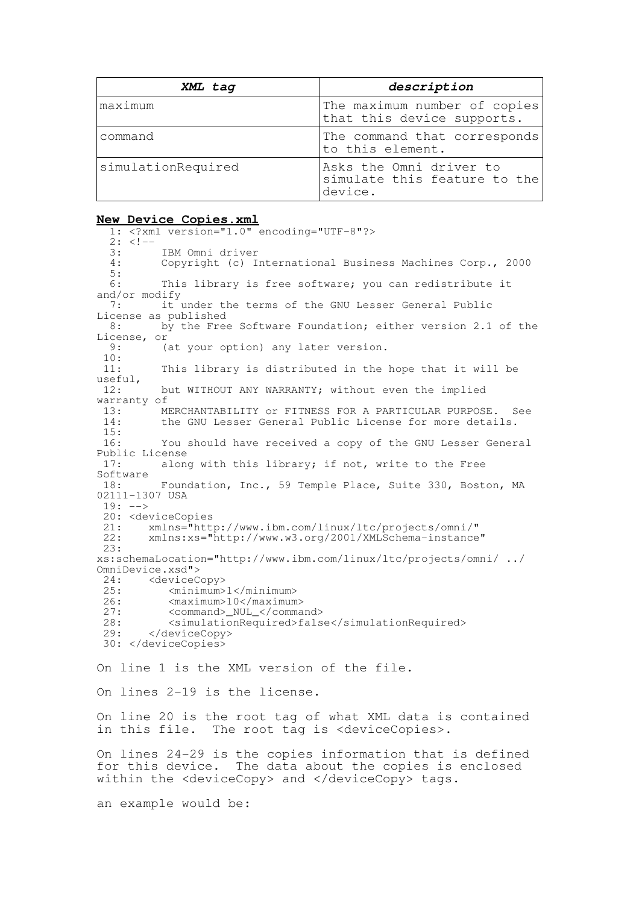| XML tag            | description                                                        |
|--------------------|--------------------------------------------------------------------|
| maximum            | The maximum number of copies<br>that this device supports.         |
| command            | The command that corresponds<br>to this element.                   |
| simulationRequired | Asks the Omni driver to<br>simulate this feature to the<br>device. |

#### **New Device Copies.xml**

1: <?xml version="1.0" encoding="UTF-8"?>  $2: <!--</math><br>3:$ 3: IBM Omni driver<br>4: Copyright (c) I Copyright (c) International Business Machines Corp., 2000  $\frac{5}{6}$ : This library is free software; you can redistribute it and/or modify 7: it under the terms of the GNU Lesser General Public License as published<br>8: by the Free by the Free Software Foundation; either version 2.1 of the License, or<br>9: (at your option) any later version.  $\frac{10}{11}$ : This library is distributed in the hope that it will be useful,<br> $12 \cdot$ but WITHOUT ANY WARRANTY: without even the implied warranty of 13: MERCHANTABILITY or FITNESS FOR A PARTICULAR PURPOSE. See<br>14: the GNU Lesser General Public License for more details the GNU Lesser General Public License for more details.  $\frac{15}{16}$ : You should have received a copy of the GNU Lesser General Public License<br>17: along along with this library; if not, write to the Free Software<br>18: Foundation, Inc., 59 Temple Place, Suite 330, Boston, MA 02111-1307 USA  $19: ---$ 20: <deviceCopies<br>21: xmlns="http 21: xmlns="http://www.ibm.com/linux/ltc/projects/omni/" 22: xmlns:xs="http://www.w3.org/2001/XMLSchema-instance" 23: xs:schemaLocation="http://www.ibm.com/linux/ltc/projects/omni/ ../ OmniDevice.xsd"> 24: <deviceCopy><br>25: <minimum> 25: <minimum>1</minimum> 26: <maximum>10</maximum><br>27: <command> NUL </comma <command> NUL </command> 28: <simulationRequired>false</simulationRequired><br>29: </deviceCopy> </deviceCopy> 30: </deviceCopies> On line 1 is the XML version of the file. On lines 2-19 is the license. On line 20 is the root tag of what XML data is contained in this file. The root tag is <deviceCopies>. On lines 24-29 is the copies information that is defined for this device. The data about the copies is enclosed within the <deviceCopy> and </deviceCopy> tags. an example would be: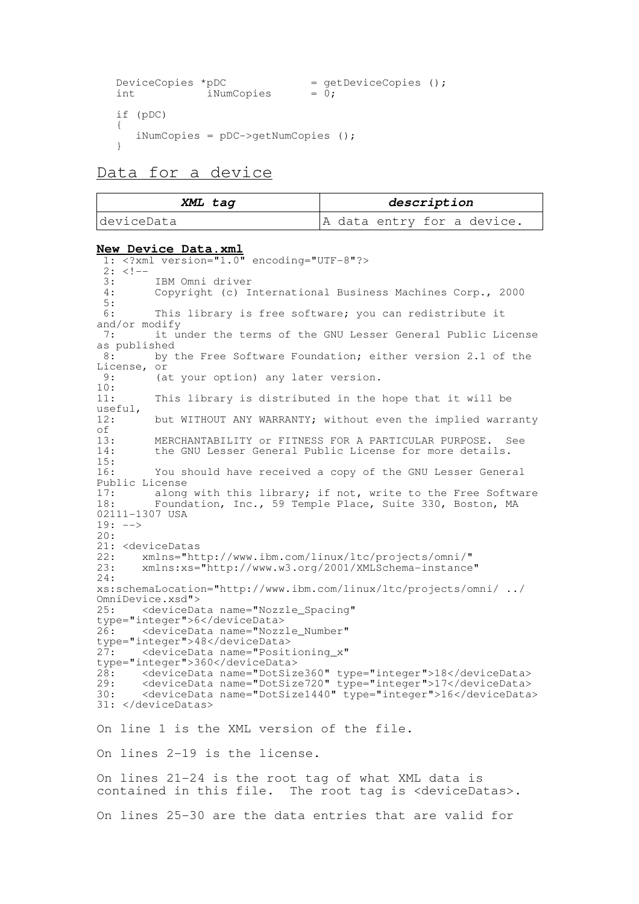```
DeviceCopies *pDC = getDeviceCopies ();<br>int iNumCopies = 0;
                iNumCopies
if (pDC)
{
   iNumCopies = pDC->getNumCopies ();
}
```
# Data for a device

| XML tag    | description                |
|------------|----------------------------|
| deviceData | A data entry for a device. |

#### **New Device Data.xml**

1: <?xml version="1.0" encoding="UTF-8"?>  $\frac{2:}{3:}$  <!--3: IBM Omni driver<br>4. Convright (c) I 4: Copyright (c) International Business Machines Corp., 2000  $\frac{5}{6}$ : This library is free software; you can redistribute it and/or modify<br>7:  $i$ t u it under the terms of the GNU Lesser General Public License as published<br>8: by t by the Free Software Foundation; either version 2.1 of the License, or<br>9:  $(a)$ (at your option) any later version.  $\frac{10}{11}$ : This library is distributed in the hope that it will be useful,<br>12: but WITHOUT ANY WARRANTY; without even the implied warranty of<br>13: 13: MERCHANTABILITY or FITNESS FOR A PARTICULAR PURPOSE. See<br>14: the GNU Lesser General Public License for more details. the GNU Lesser General Public License for more details. 15: 16: You should have received a copy of the GNU Lesser General Public License<br>17: along 17: along with this library; if not, write to the Free Software<br>18: Foundation, Inc., 59 Temple Place, Suite 330, Boston, MA Foundation, Inc., 59 Temple Place, Suite 330, Boston, MA 02111-1307 USA  $19: -->$  $20:$ 21: <deviceDatas<br>22: xmlns="ht 22: xmlns="http://www.ibm.com/linux/ltc/projects/omni/" 23: xmlns:xs="http://www.w3.org/2001/XMLSchema-instance" 24: xs:schemaLocation="http://www.ibm.com/linux/ltc/projects/omni/ ../ OmniDevice.xsd"><br>25: <deviceDa <deviceData name="Nozzle\_Spacing" type="integer">6</deviceData> <deviceData name="Nozzle\_Number" type="integer">48</deviceData> 27: <deviceData name="Positioning\_x" type="integer">360</deviceData> 28: <deviceData name="DotSize360" type="integer">18</deviceData> 29: <deviceData name="DotSize720" type="integer">17</deviceData> 30: <deviceData name="DotSize1440" type="integer">16</deviceData> 31: </deviceDatas> On line 1 is the XML version of the file. On lines 2-19 is the license. On lines 21-24 is the root tag of what XML data is contained in this file. The root tag is <deviceDatas>. On lines 25-30 are the data entries that are valid for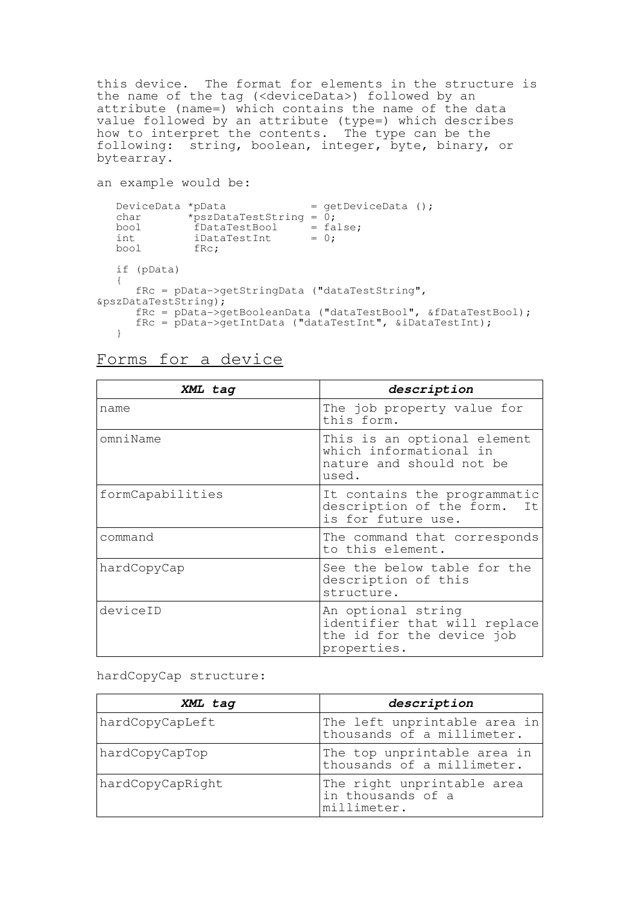this device. The format for elements in the structure is the name of the tag (<deviceData>) followed by an attribute (name=) which contains the name of the data value followed by an attribute (type=) which describes how to interpret the contents. The type can be the following: string, boolean, integer, byte, binary, or bytearray.

```
an example would be:
```

```
DeviceData *pData = getDeviceData ();
  char *pszDataTestString = 0;
  bool fDataTestBool = false;
  int iDataTestInt = 0;
  bool fRc;
  if (pData)
  {
     fRc = pData->getStringData ("dataTestString",
&pszDataTestString);
     fRc = pData->getBooleanData ("dataTestBool", &fDataTestBool);
     fRc = pData->getIntData ("dataTestInt", &iDataTestInt);
  }
```
# Forms for a device

| XML tag          | description                                                                                    |
|------------------|------------------------------------------------------------------------------------------------|
| name             | The job property value for<br>this form.                                                       |
| omniName         | This is an optional element<br>which informational in<br>nature and should not be<br>used.     |
| formCapabilities | It contains the programmatic<br>description of the form.<br>It<br>is for future use.           |
| command          | The command that corresponds<br>to this element.                                               |
| hardCopyCap      | See the below table for the<br>description of this<br>structure.                               |
| deviceID         | An optional string<br>identifier that will replace<br>the id for the device job<br>properties. |

hardCopyCap structure:

| XML tag          | description                                                    |
|------------------|----------------------------------------------------------------|
| hardCopyCapLeft  | The left unprintable area in<br>thousands of a millimeter.     |
| hardCopyCapTop   | The top unprintable area in<br>thousands of a millimeter.      |
| hardCopyCapRight | The right unprintable area<br>in thousands of a<br>millimeter. |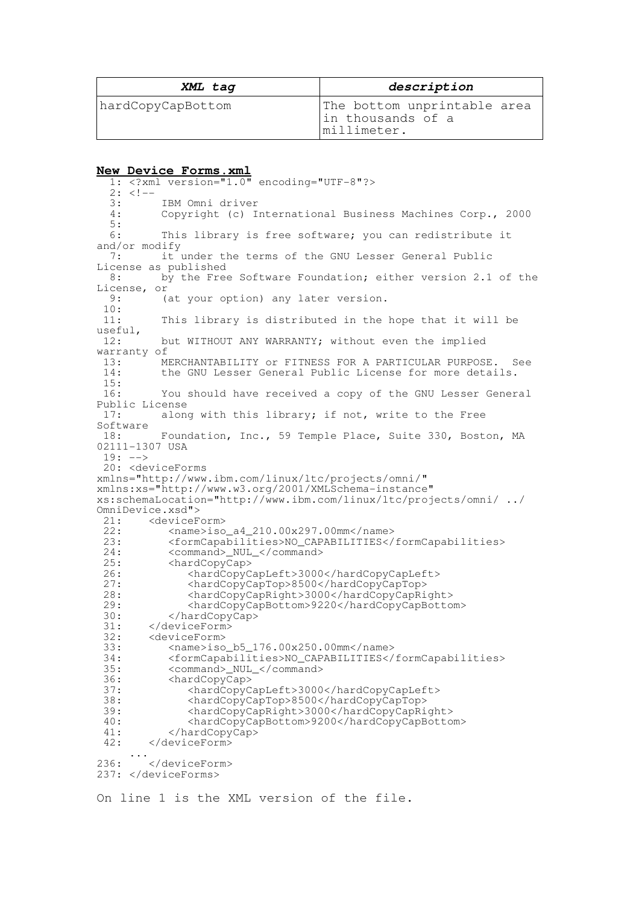| XML tag           | description                                                     |
|-------------------|-----------------------------------------------------------------|
| hardCopyCapBottom | The bottom unprintable area<br>In thousands of a<br>millimeter. |

#### **New Device Forms.xml**

1: <?xml version="1.0" encoding="UTF-8"?>  $2: <!--</math>$ 3: IBM Omni driver<br>4: Copyright (c) I Copyright (c) International Business Machines Corp., 2000  $\frac{5}{6}$ : This library is free software; you can redistribute it and/or modify<br>7.  $\frac{1}{7}$ it under the terms of the GNU Lesser General Public License as published<br>8: by the Free by the Free Software Foundation; either version 2.1 of the License, or<br>9: (at your option) any later version.  $\frac{10}{11}$ : This library is distributed in the hope that it will be useful, 12: but WITHOUT ANY WARRANTY; without even the implied warranty of<br> $13:$  M 13: MERCHANTABILITY or FITNESS FOR A PARTICULAR PURPOSE. See<br>14: The GNU Lesser General Public License for more details the GNU Lesser General Public License for more details.  $\frac{15}{16}$ : You should have received a copy of the GNU Lesser General Public License 17: along with this library; if not, write to the Free Software<br>18: Foundation, Inc., 59 Temple Place, Suite 330, Boston, MA 02111-1307 USA  $19: ---$ 20: <deviceForms xmlns="http://www.ibm.com/linux/ltc/projects/omni/" xmlns:xs="http://www.w3.org/2001/XMLSchema-instance" xs:schemaLocation="http://www.ibm.com/linux/ltc/projects/omni/ ../ OmniDevice.xsd"><br>21: <deviceF 21: <deviceForm><br>22: <name>iso 22: <name>iso\_a4\_210.00x297.00mm</name><br>23: <formCapabilities>NO CAPABILITIES</ 23: <formCapabilities>NO\_CAPABILITIES</formCapabilities> 24: <command>\_NUL\_</command><br>25: <hardCopyCap> <hardCopyCap> 26: <hardCopyCapLeft>3000</hardCopyCapLeft>27: <hardCopyCapTop>8500</hardCopyCapTop> 27: <hardCopyCapTop>8500</hardCopyCapTop> 28: <hardCopyCapRight>3000</hardCopyCapRight> 29: <hardCopyCapBottom>9220</hardCopyCapBottom> 30: </hardCopyCap><br>31: </deviceForm> 31: </deviceForm><br>32: <deviceForm> 32: <deviceForm><br>33: <mame>iso 33: <name>iso\_b5\_176.00x250.00mm</name> 34: <formCapabilities>NO\_CAPABILITIES</formCapabilities> 35: <command>\_NUL\_</command> 36: <hardCopyCap> 37: <hardCopyCapLeft>3000</hardCopyCapLeft> 38: <hardCopyCapTop>8500</hardCopyCapTop> 39: <hardCopyCapRight>3000</hardCopyCapRight> 40: <hardCopyCapBottom>9200</hardCopyCapBottom> </hardCopyCap> 42: </deviceForm> ... 236: </deviceForm> 237: </deviceForms>

On line 1 is the XML version of the file.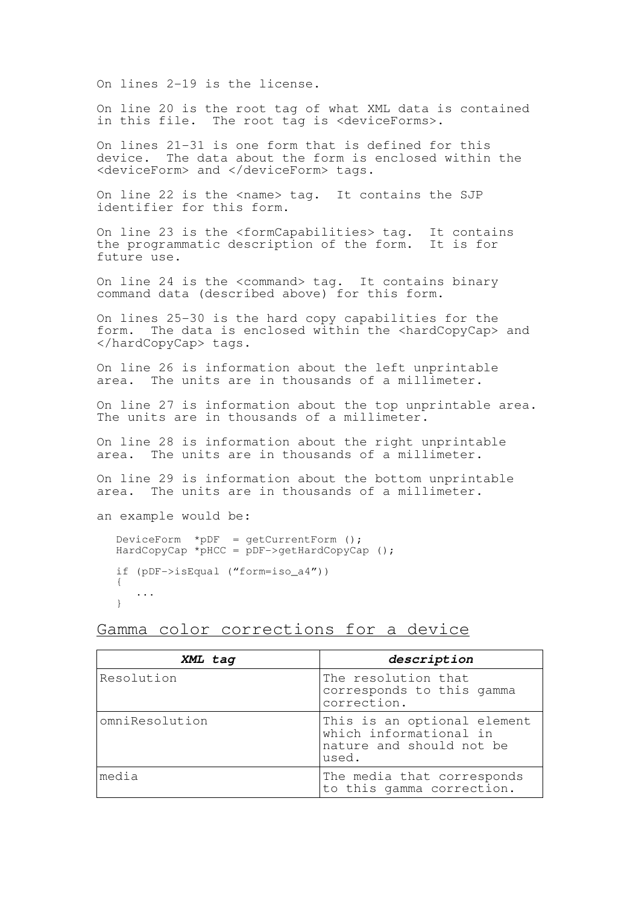On lines 2-19 is the license.

On line 20 is the root tag of what XML data is contained in this file. The root tag is <deviceForms>.

On lines 21-31 is one form that is defined for this device. The data about the form is enclosed within the <deviceForm> and </deviceForm> tags.

On line 22 is the <name> tag. It contains the SJP identifier for this form.

On line 23 is the <formCapabilities> tag. It contains the programmatic description of the form. It is for future use.

On line 24 is the <command> tag. It contains binary command data (described above) for this form.

On lines 25-30 is the hard copy capabilities for the form. The data is enclosed within the <hardCopyCap> and </hardCopyCap> tags.

On line 26 is information about the left unprintable area. The units are in thousands of a millimeter.

On line 27 is information about the top unprintable area. The units are in thousands of a millimeter.

On line 28 is information about the right unprintable area. The units are in thousands of a millimeter.

On line 29 is information about the bottom unprintable area. The units are in thousands of a millimeter.

an example would be:

DeviceForm  $*$ pDF = qetCurrentForm ();  $HardCopyCap * pHCC = pDF->getHardCopyCap()$ ; if (pDF->isEqual ("form=iso\_a4")) { ... }

Gamma color corrections for a device

| XML tag        | description                                                                                |
|----------------|--------------------------------------------------------------------------------------------|
| Resolution     | The resolution that<br>corresponds to this gamma<br>correction.                            |
| omniResolution | This is an optional element<br>which informational in<br>nature and should not be<br>used. |
| media          | The media that corresponds<br>to this gamma correction.                                    |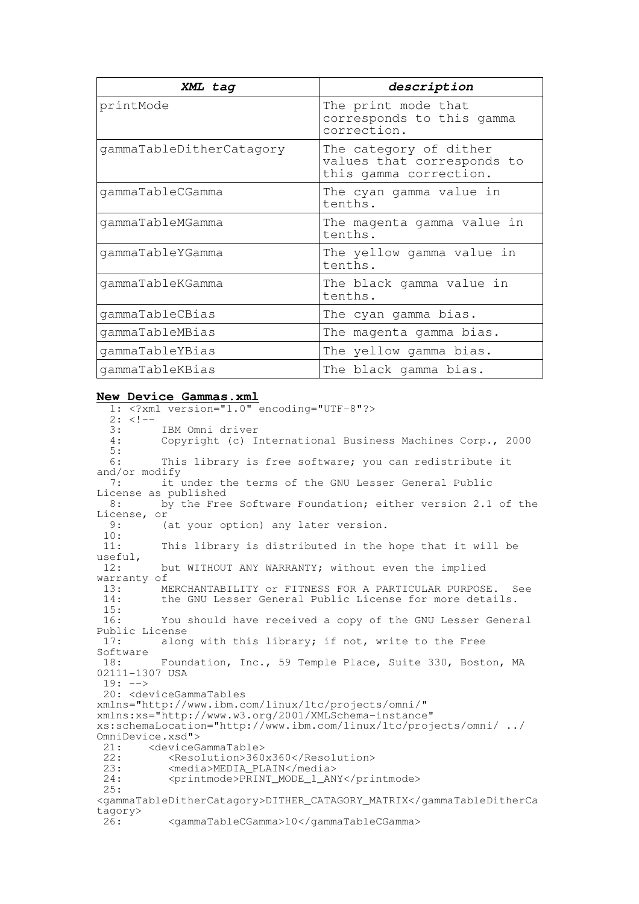| XML tag                  | description                                                                    |
|--------------------------|--------------------------------------------------------------------------------|
| printMode                | The print mode that<br>corresponds to this gamma<br>correction.                |
| gammaTableDitherCatagory | The category of dither<br>values that corresponds to<br>this gamma correction. |
| qammaTableCGamma         | The cyan gamma value in<br>tenths.                                             |
| qammaTableMGamma         | The magenta gamma value in<br>tenths.                                          |
| gammaTableYGamma         | The yellow gamma value in<br>tenths.                                           |
| gammaTableKGamma         | The black gamma value in<br>tenths.                                            |
| qammaTableCBias          | The cyan gamma bias.                                                           |
| gammaTableMBias          | The magenta gamma bias.                                                        |
| gammaTableYBias          | The yellow gamma bias.                                                         |
| qammaTableKBias          | The black gamma bias.                                                          |

#### **New Device Gammas.xml**

1: <?xml version="1.0" encoding="UTF-8"?>  $2: <!--</math><br>3:$ 3: IBM Omni driver<br>4: Copyright (c) I Copyright (c) International Business Machines Corp., 2000  $\frac{5}{6}$ : This library is free software; you can redistribute it and/or modify 7: it under the terms of the GNU Lesser General Public License as published<br>8: by the Free by the Free Software Foundation; either version 2.1 of the License, or<br>9: (at your option) any later version.  $\frac{10}{11}$ : This library is distributed in the hope that it will be useful,<br>12: but WITHOUT ANY WARRANTY; without even the implied warranty of  $13 \cdot 13$ 13: MERCHANTABILITY or FITNESS FOR A PARTICULAR PURPOSE. See<br>14: the GNU Lesser General Public License for more details. the GNU Lesser General Public License for more details. 15: 16: You should have received a copy of the GNU Lesser General Public License<br>17: alon along with this library; if not, write to the Free Software<br>18: Foundation, Inc., 59 Temple Place, Suite 330, Boston, MA 02111-1307 USA  $19: ---$ 20: <deviceGammaTables xmlns="http://www.ibm.com/linux/ltc/projects/omni/" xmlns:xs="http://www.w3.org/2001/XMLSchema-instance" xs:schemaLocation="http://www.ibm.com/linux/ltc/projects/omni/ ../ OmniDevice.xsd"><br>21: <deviceG 21: <deviceGammaTable><br>22: <Resolution>360 22: <Resolution>360x360</Resolution><br>23: <media>MEDIA PLAIN</media> 23: <media>MEDIA\_PLAIN</media><br>24: <printmode>PRINT\_MODE\_1\_AN 24: <printmode>PRINT\_MODE\_1\_ANY</printmode> 25: <gammaTableDitherCatagory>DITHER\_CATAGORY\_MATRIX</gammaTableDitherCa tagory> 26: <gammaTableCGamma>10</gammaTableCGamma>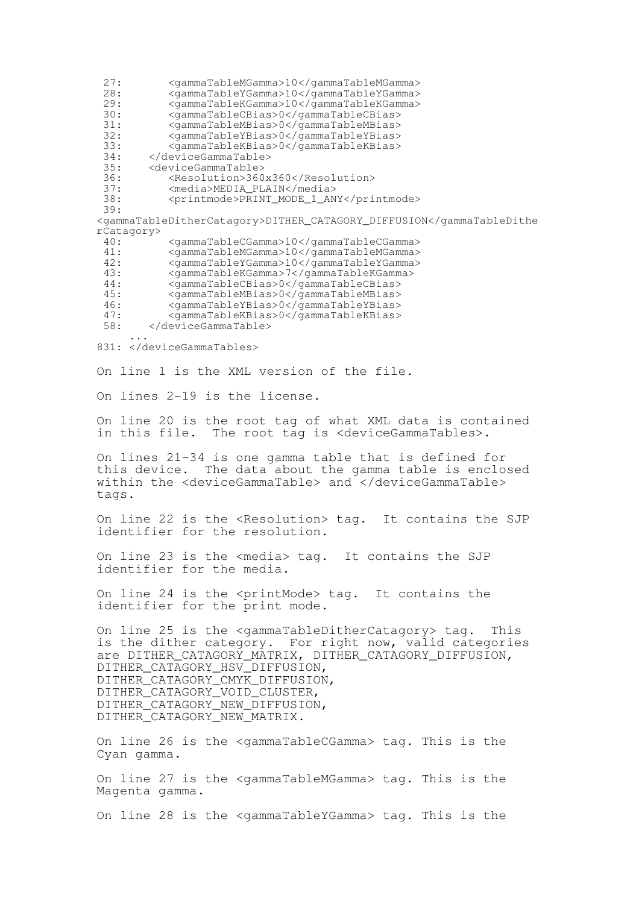27: <gammaTableMGamma>10</gammaTableMGamma> 28: <gammaTableYGamma>10</gammaTableYGamma> 29: <gammaTableKGamma>10</gammaTableKGamma><br>30: <gammaTableCBias>0</gammaTableCBias> 30: <gammaTableCBias>0</gammaTableCBias> 31: <gammaTableMBias>0</gammaTableMBias> 32: <gammaTableYBias>0</gammaTableYBias> 33: <gammaTableKBias>0</gammaTableKBias> 34: </deviceGammaTable><br>35: <deviceGammaTable> 35: <deviceGammaTable> 36: <Resolution>360x360</Resolution><br>37: <media>MEDIA PLAIN</media> 37: <media>MEDIA\_PLAIN</media> 38: <printmode>PRINT\_MODE\_1\_ANY</printmode> 39: <gammaTableDitherCatagory>DITHER\_CATAGORY\_DIFFUSION</gammaTableDithe rCatagory> 40: <gammaTableCGamma>10</gammaTableCGamma> 41: <gammaTableMGamma>10</gammaTableMGamma> 42: <gammaTableYGamma>10</gammaTableYGamma> 43: <gammaTableKGamma>7</gammaTableKGamma> 44: <gammaTableCBias>0</gammaTableCBias> 45: <gammaTableMBias>0</gammaTableMBias> 46: <gammaTableYBias>0</gammaTableYBias> 47: <gammaTableKBias>0</gammaTableKBias> 58: </deviceGammaTable> ... 831: </deviceGammaTables> On line 1 is the XML version of the file. On lines 2-19 is the license. On line 20 is the root tag of what XML data is contained in this file. The root tag is <deviceGammaTables>. On lines 21-34 is one gamma table that is defined for The data about the gamma table is enclosed within the <deviceGammaTable> and </deviceGammaTable> tags. On line 22 is the <Resolution> tag. It contains the SJP identifier for the resolution. On line 23 is the <media> tag. It contains the SJP identifier for the media. On line 24 is the <printMode> tag. It contains the identifier for the print mode. On line 25 is the <gammaTableDitherCatagory> tag. This is the dither category. For right now, valid categories are DITHER CATAGORY MATRIX, DITHER CATAGORY DIFFUSION, DITHER\_CATAGORY\_HSV\_DIFFUSION, DITHER\_CATAGORY\_CMYK\_DIFFUSION, DITHER\_CATAGORY\_VOID\_CLUSTER, DITHER\_CATAGORY\_NEW\_DIFFUSION, DITHER\_CATAGORY\_NEW\_MATRIX. On line 26 is the <gammaTableCGamma> tag. This is the Cyan gamma. On line 27 is the <gammaTableMGamma> tag. This is the Magenta gamma. On line 28 is the <gammaTableYGamma> tag. This is the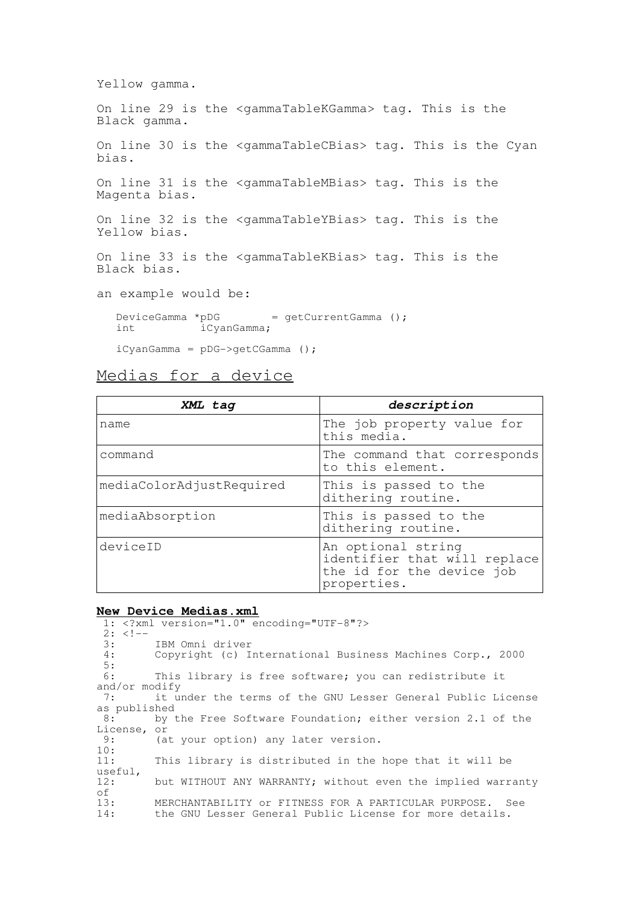Yellow gamma.

On line 29 is the <gammaTableKGamma> tag. This is the Black gamma.

On line 30 is the <gammaTableCBias> tag. This is the Cyan bias.

On line 31 is the <gammaTableMBias> tag. This is the Magenta bias.

On line 32 is the <gammaTableYBias> tag. This is the Yellow bias.

On line 33 is the <gammaTableKBias> tag. This is the Black bias.

an example would be:

DeviceGamma \*pDG = getCurrentGamma (); int iCyanGamma;

iCyanGamma = pDG->getCGamma ();

Medias for a device

| XML tag                  | description                                                                                    |
|--------------------------|------------------------------------------------------------------------------------------------|
| name                     | The job property value for<br>this media.                                                      |
| command                  | The command that corresponds<br>to this element.                                               |
| mediaColorAdjustRequired | This is passed to the<br>dithering routine.                                                    |
| mediaAbsorption          | This is passed to the<br>dithering routine.                                                    |
| deviceID                 | An optional string<br>identifier that will replace<br>the id for the device job<br>properties. |

### **New Device Medias.xml**

|               | NEW DEVICE MEULAS.AMIL                                      |
|---------------|-------------------------------------------------------------|
|               | $1:$ xml version="1.0" encoding="UTF-8"?                    |
| $2: < 1--$    |                                                             |
|               | 3: IBM Omni driver                                          |
| 4:            | Copyright (c) International Business Machines Corp., 2000   |
| 5:            |                                                             |
| 6 :           | This library is free software; you can redistribute it      |
| and/or modify |                                                             |
| 7:            | it under the terms of the GNU Lesser General Public License |
| as published  |                                                             |
| 8:            | by the Free Software Foundation; either version 2.1 of the  |
| License, or   |                                                             |
| 9:            | (at your option) any later version.                         |
| 10:           |                                                             |
| 11:           | This library is distributed in the hope that it will be     |
| useful,       |                                                             |
| 12:           | but WITHOUT ANY WARRANTY; without even the implied warranty |
| оf            |                                                             |
| 13:           | MERCHANTABILITY or FITNESS FOR A PARTICULAR PURPOSE. See    |
| 14:           | the GNU Lesser General Public License for more details.     |
|               |                                                             |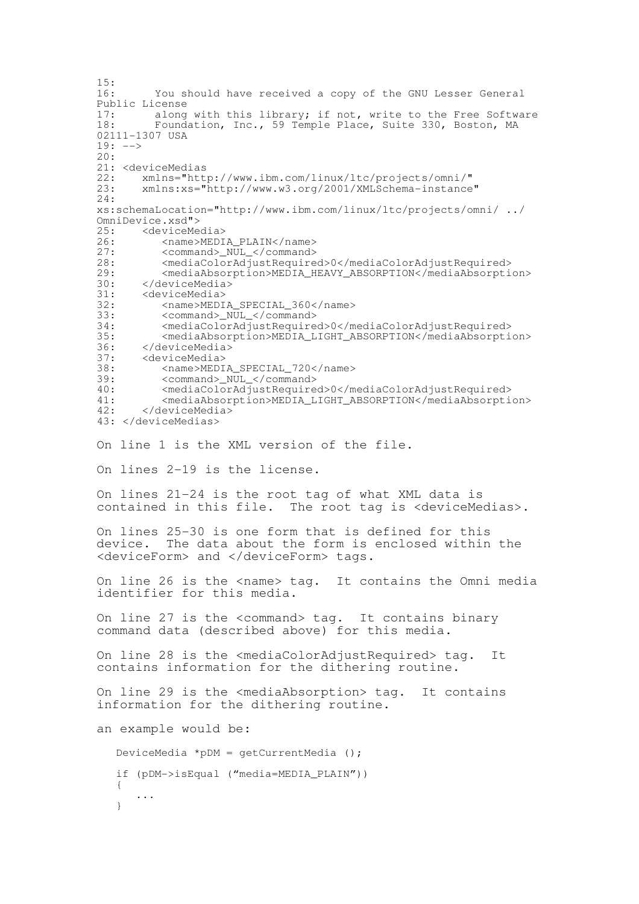```
\frac{15}{16}You should have received a copy of the GNU Lesser General
Public License<br>17: along
17: along with this library; if not, write to the Free Software<br>18: Foundation Inc 59 Temple Place Suite 330 Boston MA
          Foundation, Inc., 59 Temple Place, Suite 330, Boston, MA
02111-1307 USA
19: -->20:
21: <deviceMedias<br>22: xmlns="htt
22: xmlns="http://www.ibm.com/linux/ltc/projects/omni/"<br>23: xmlns:xs="http://www.w3.org/2001/XMLSchema-instance
        23: xmlns:xs="http://www.w3.org/2001/XMLSchema-instance"
24.xs:schemaLocation="http://www.ibm.com/linux/ltc/projects/omni/ ../
OmniDevice.xsd"><br>25: <deviceMe
25: <deviceMedia><br>26: <mame>MEDI
26: <name>MEDIA_PLAIN</name><br>27: <command> NUL </command>
27: <command>_NUL_</command><br>28: <mediaColorAdjustRequire
28: <mediaColorAdjustRequired>0</mediaColorAdjustRequired><br>29: <mediaAbsorption>MEDIA HEAVY ABSORPTION</mediaAbsorpti
29: <mediaAbsorption>MEDIA_HEAVY_ABSORPTION</mediaAbsorption><br>30: </deviceMedia>
       30: </deviceMedia>
31: <deviceMedia><br>32: <name>MEDI
32: <name>MEDIA_SPECIAL_360</name><br>33: <command> NUL </command>
33: <command>_NUL_</command>
34: <mediaColorAdjustRequired>0</mediaColorAdjustRequired>
35: <mediaAbsorption>MEDIA_LIGHT_ABSORPTION</mediaAbsorption>
36: </deviceMedia><br>37: <deviceMedia>
37: <deviceMedia><br>38: <name>MEDI
           <name>MEDIA_SPECIAL_720</name>
39: <command>_NUL_</command>
40: <mediaColorAdjustRequired>0</mediaColorAdjustRequired>41: <mediaAbsorption>MEDIA LIGHT ABSORPTION</mediaAbsorpti
41: <mediaAbsorption>MEDIA_LIGHT_ABSORPTION</mediaAbsorption>
        42: </deviceMedia>
43: </deviceMedias>
On line 1 is the XML version of the file.
On lines 2-19 is the license.
On lines 21-24 is the root tag of what XML data is
contained in this file. The root tag is <deviceMedias>.
On lines 25-30 is one form that is defined for this
device. The data about the form is enclosed within the
<deviceForm> and </deviceForm> tags.
On line 26 is the <name> tag. It contains the Omni media
identifier for this media.
On line 27 is the <command> tag. It contains binary
command data (described above) for this media.
On line 28 is the <mediaColorAdjustRequired> tag. It
contains information for the dithering routine.
On line 29 is the <mediaAbsorption> tag. It contains
information for the dithering routine.
an example would be:
   DeviceMedia *pDM = getCurrentMedia ();
   if (pDM->isEqual ("media=MEDIA_PLAIN"))
   {
       ...
   }
```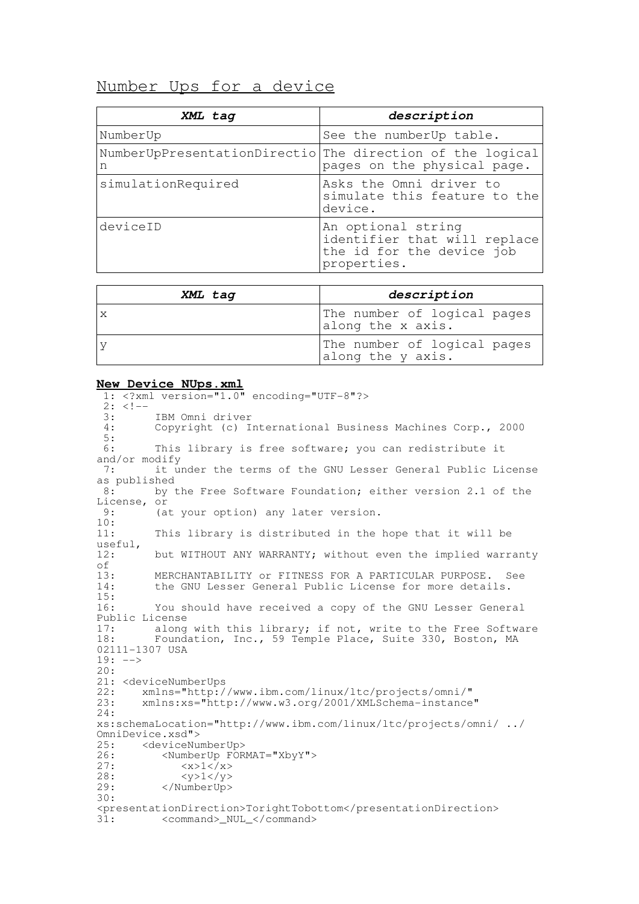# Number Ups for a device

| XML tag                                                        | description                                                                                    |
|----------------------------------------------------------------|------------------------------------------------------------------------------------------------|
| NumberUp                                                       | See the numberUp table.                                                                        |
| NumberUpPresentationDirectio The direction of the logical<br>n | pages on the physical page.                                                                    |
| simulationRequired                                             | Asks the Omni driver to<br>simulate this feature to the<br>device.                             |
| deviceID                                                       | An optional string<br>identifier that will replace<br>the id for the device job<br>properties. |

| XML tag | description                                      |
|---------|--------------------------------------------------|
|         | The number of logical pages<br>along the x axis. |
|         | The number of logical pages<br>along the y axis. |

#### **New Device NUps.xml**

1: <?xml version="1.0" encoding="UTF-8"?>  $2: 2:-$ <br>3: 3: IBM Omni driver<br>4: Copyright (c) I Copyright (c) International Business Machines Corp., 2000  $\frac{5}{6}$ : This library is free software; you can redistribute it and/or modify 7: it under the terms of the GNU Lesser General Public License as published<br>8: by t by the Free Software Foundation; either version 2.1 of the License, or<br>9: (a (at your option) any later version.  $\frac{10}{11}$ : This library is distributed in the hope that it will be useful,<br>12: but WITHOUT ANY WARRANTY; without even the implied warranty of<br> $13:$ 13: MERCHANTABILITY or FITNESS FOR A PARTICULAR PURPOSE. See<br>14: The GNU Lesser General Public License for more details. the GNU Lesser General Public License for more details. 15: 16: You should have received a copy of the GNU Lesser General Public License<br>17: along 17: along with this library; if not, write to the Free Software<br>18: Foundation, Inc., 59 Temple Place, Suite 330, Boston, MA Foundation, Inc., 59 Temple Place, Suite 330, Boston, MA 02111-1307 USA 19: --> 20: 21: <deviceNumberUps<br>22: xmlns="http:/ 22: xmlns="http://www.ibm.com/linux/ltc/projects/omni/" 23: xmlns:xs="http://www.w3.org/2001/XMLSchema-instance" 24: xs:schemaLocation="http://www.ibm.com/linux/ltc/projects/omni/ ../ OmniDevice.xsd"><br>25: <deviceNu 25: <deviceNumberUp><br>26: <NumberUp FOR 26: <NumberUp FORMAT="XbyY"><br>27: < $x>1$ </x>  $1$  </x>  $28:$   $\langle y>1/\langle y>29:$   $\langle NumberUp\rangle$ </NumberUp> 30: <presentationDirection>TorightTobottom</presentationDirection> 31: <command>\_NUL\_</command>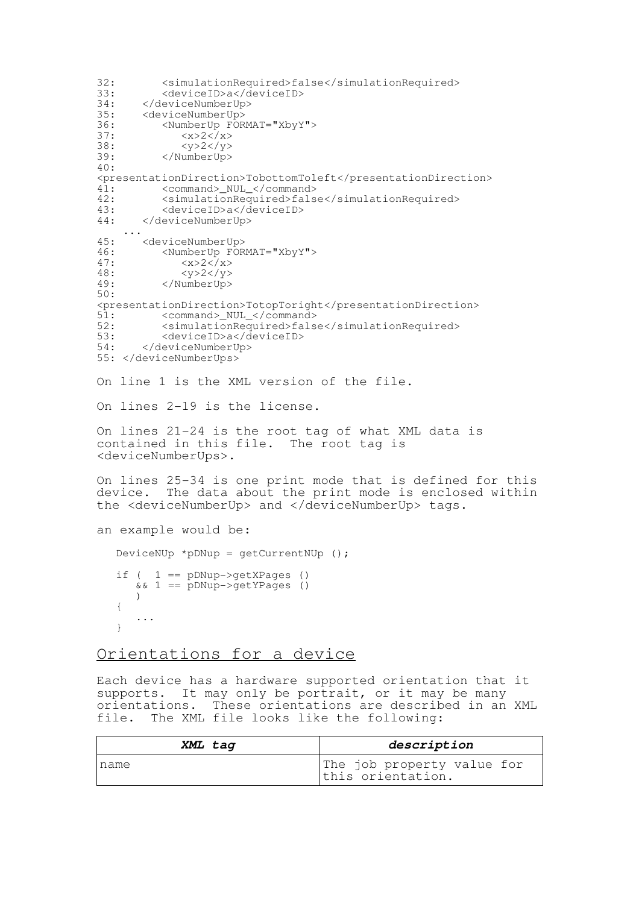```
32: \langlesimulationRequired>false</simulationRequired><br>33: \langledeviceID>a</deviceID>
33: <deviceID>a</deviceID><br>34: </deviceNumberUp>
34: </deviceNumberUp><br>35: <deviceNumberUp>
35: <deviceNumberUp><br>36: <www.scheenberup
36: <NumberUp FORMAT="XbyY"><br>37: <x>2</x>
              <x>2</x>
38: <y>2</y>
           </NumberUp>
40:
<presentationDirection>TobottomToleft</presentationDirection>
41: <command>_NUL_</command>
42: \langlesimulationRequired>false</simulationRequired><br>43: \langledeviceID>a</deviceID>
43: <deviceID>a</deviceID>
       44: </deviceNumberUp>
    ...
45: <deviceNumberUp><br>46: <NumberUp FOR
46: <NumberUp FORMAT="XbyY"><br>47: <x > 2</x>
              <x>2<-x>48: <y>2</y>
          49: </NumberUp>
50:
<presentationDirection>TotopToright</presentationDirection>
51: <command>_NUL_</command>
52: <simulationRequired>false</simulationRequired><br>53: <deviceID>a</deviceID>
53: <deviceID>a</deviceID><br>54: </deviceNumberUp>
       54: </deviceNumberUp>
55: </deviceNumberUps>
On line 1 is the XML version of the file.
On lines 2-19 is the license.
On lines 21-24 is the root tag of what XML data is
contained in this file. The root tag is
<deviceNumberUps>.
On lines 25-34 is one print mode that is defined for this
device. The data about the print mode is enclosed within
the <deviceNumberUp> and </deviceNumberUp> tags.
an example would be:
   DeviceNUp *pDNup = getCurrentNUp ();
   if (1 == pDNup-> qetXPages)& 1 = pDNup->qetYPages ()
      )
   {
      ...
   }
Orientations for a device
```
Each device has a hardware supported orientation that it supports. It may only be portrait, or it may be many orientations. These orientations are described in an XML file. The XML file looks like the following:

| XML tag | description                                     |
|---------|-------------------------------------------------|
| Iname   | The job property value for<br>this orientation. |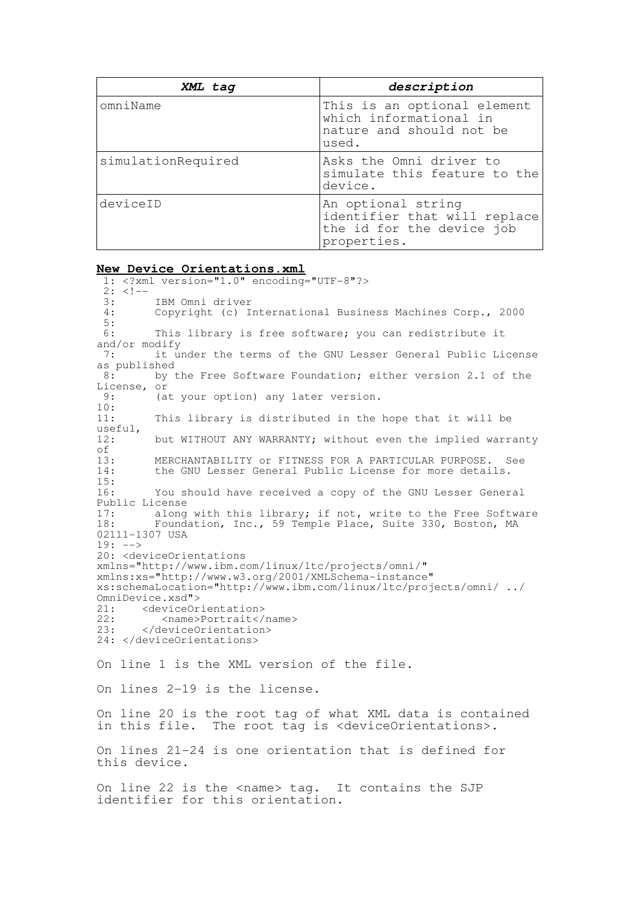| XML tag            | description                                                                                    |
|--------------------|------------------------------------------------------------------------------------------------|
| omniName           | This is an optional element<br>which informational in<br>nature and should not be<br>used.     |
| simulationRequired | Asks the Omni driver to<br>simulate this feature to the<br>device.                             |
| deviceID           | An optional string<br>identifier that will replace<br>the id for the device job<br>properties. |

#### **New Device Orientations.xml**

1: <?xml version="1.0" encoding="UTF-8"?>  $2: <!--</math><br>3:$ 3: IBM Omni driver<br>4: Copyright (c) I Copyright (c) International Business Machines Corp., 2000  $\frac{5}{6}$ : This library is free software; you can redistribute it and/or modify 7: it under the terms of the GNU Lesser General Public License as published<br>8: by t by the Free Software Foundation; either version 2.1 of the License, or<br>9: (a (at your option) any later version.  $\frac{10}{11}$ : This library is distributed in the hope that it will be useful,<br>12: but WITHOUT ANY WARRANTY; without even the implied warranty of<br>13: 13: MERCHANTABILITY or FITNESS FOR A PARTICULAR PURPOSE. See<br>14: the GNU Lesser General Public License for more details. the GNU Lesser General Public License for more details. 15: 16: You should have received a copy of the GNU Lesser General Public License<br>17: along 17: along with this library; if not, write to the Free Software<br>18: Foundation, Inc., 59 Temple Place, Suite 330, Boston, MA Foundation, Inc., 59 Temple Place, Suite 330, Boston, MA 02111-1307 USA  $19: ---$ 20: <deviceOrientations xmlns="http://www.ibm.com/linux/ltc/projects/omni/" xmlns:xs="http://www.w3.org/2001/XMLSchema-instance" xs:schemaLocation="http://www.ibm.com/linux/ltc/projects/omni/ ../ OmniDevice.xsd"><br>21: <deviceOr 21: <deviceOrientation><br>22: <name>Portrait</ 22: <name>Portrait</name><br>23: </deviceOrientation> </deviceOrientation> 24: </deviceOrientations> On line 1 is the XML version of the file. On lines 2-19 is the license. On line 20 is the root tag of what XML data is contained in this file. The root tag is <deviceOrientations>. On lines 21-24 is one orientation that is defined for this device. On line 22 is the <name> tag. It contains the SJP identifier for this orientation.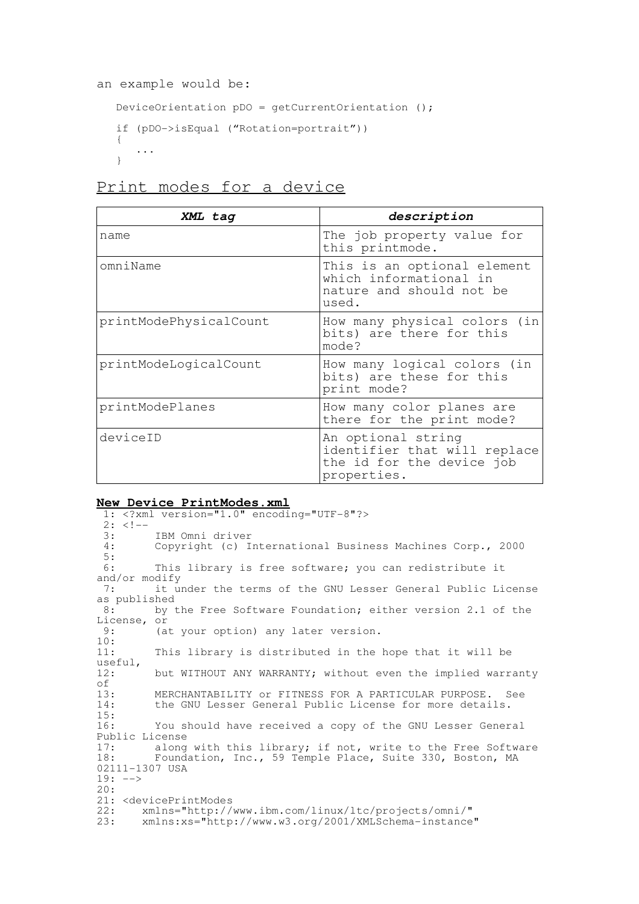```
an example would be:
```

```
DeviceOrientation pDO = getCurrentOrientation ();
if (pDO->isEqual ("Rotation=portrait"))
{
   ...
}
```
# Print modes for a device

| XML tag                | description                                                                                    |
|------------------------|------------------------------------------------------------------------------------------------|
| name                   | The job property value for<br>this printmode.                                                  |
| omniName               | This is an optional element<br>which informational in<br>nature and should not be<br>used.     |
| printModePhysicalCount | How many physical colors (in<br>bits) are there for this<br>mode?                              |
| printModeLogicalCount  | How many logical colors (in<br>bits) are these for this<br>print mode?                         |
| printModePlanes        | How many color planes are<br>there for the print mode?                                         |
| deviceID               | An optional string<br>identifier that will replace<br>the id for the device job<br>properties. |

### **New Device PrintModes.xml**

1: <?xml version="1.0" encoding="UTF-8"?>  $2: <!--</math><br>3:$ 3: IBM Omni driver<br>4: Copyright (c) I Copyright (c) International Business Machines Corp., 2000  $5:6:$ This library is free software; you can redistribute it and/or modify 7: it under the terms of the GNU Lesser General Public License as published<br>8: by by the Free Software Foundation; either version 2.1 of the License, or<br>9: (a (at your option) any later version.  $\frac{10:}{11:}$ This library is distributed in the hope that it will be useful,<br>12: but WITHOUT ANY WARRANTY; without even the implied warranty of<br> $13:$ 13: MERCHANTABILITY or FITNESS FOR A PARTICULAR PURPOSE. See<br>14: the GNU Lesser General Public License for more details. the GNU Lesser General Public License for more details.  $\frac{15}{16}$ : You should have received a copy of the GNU Lesser General Public License<br>17: along 17: along with this library; if not, write to the Free Software<br>18: Foundation, Inc., 59 Temple Place, Suite 330, Boston, MA Foundation, Inc., 59 Temple Place, Suite 330, Boston, MA 02111-1307 USA  $19: ---$ 20: 21: <devicePrintModes<br>22: xmlns="http:// 22: xmlns="http://www.ibm.com/linux/ltc/projects/omni/"<br>23: xmlns:xs="http://www.w3.org/2001/XMLSchema-instance 23: xmlns:xs="http://www.w3.org/2001/XMLSchema-instance"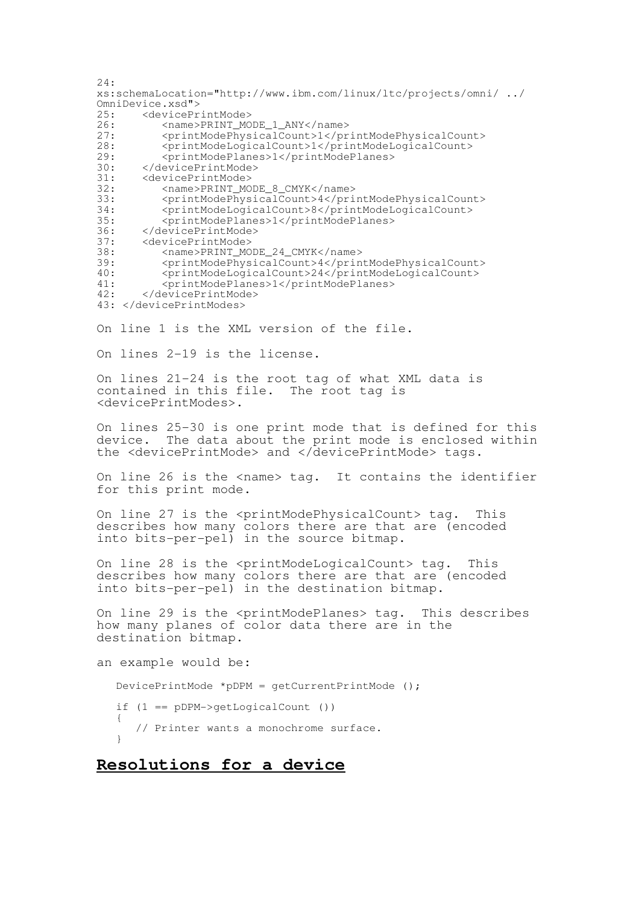```
24:xs:schemaLocation="http://www.ibm.com/linux/ltc/projects/omni/ ../
OmniDevice.xsd"><br>25: <devicePr
25: <devicePrintMode><br>26: <mame>PRINT MO
26: <name>PRINT_MODE_1_ANY</name><br>27: <printModePhysicalCount>1</pr
             27: <printModePhysicalCount>1</printModePhysicalCount>
28: <printModeLogicalCount>1</printModeLogicalCount><br>29: <printModePlanes>1</printModePlanes>
29: <printModePlanes>1</printModePlanes>30: </devicePrintMode>
30: </devicePrintMode><br>31: <devicePrintMode>
31: <devicePrintMode><br>32: <name>PRINT MC
32: <name>PRINT_MODE_8_CMYK</name><br>33: <printModePhysicalCount>4</pri
33: <printModePhysicalCount>4</printModePhysicalCount>
34: <printModeLogicalCount>8</printModeLogicalCount>
35: <printModePlanes>1</printModePlanes>
36: </devicePrintMode><br>37: <devicePrintMode>
37: <devicePrintMode><br>38: <name>PRINT_MC
38: <name>PRINT_MODE_24_CMYK</name><br>39: <printModePhysicalCount>4</prin
             39: <printModePhysicalCount>4</printModePhysicalCount>
40: <printModeLogicalCount>24</printModeLogicalCount>
41: <printModePlanes>1</printModePlanes>
42: </devicePrintMode>
43: </devicePrintModes>
```
On line 1 is the XML version of the file.

On lines 2-19 is the license.

On lines 21-24 is the root tag of what XML data is contained in this file. The root tag is <devicePrintModes>.

On lines 25-30 is one print mode that is defined for this device. The data about the print mode is enclosed within the <devicePrintMode> and </devicePrintMode> tags.

On line 26 is the <name> tag. It contains the identifier for this print mode.

On line 27 is the <printModePhysicalCount> tag. This describes how many colors there are that are (encoded into bits-per-pel) in the source bitmap.

On line 28 is the <printModeLogicalCount> tag. This describes how many colors there are that are (encoded into bits-per-pel) in the destination bitmap.

On line 29 is the <printModePlanes> tag. This describes how many planes of color data there are in the destination bitmap.

an example would be: DevicePrintMode \*pDPM = getCurrentPrintMode (); if (1 == pDPM->getLogicalCount ()) { // Printer wants a monochrome surface. }

# **Resolutions for a device**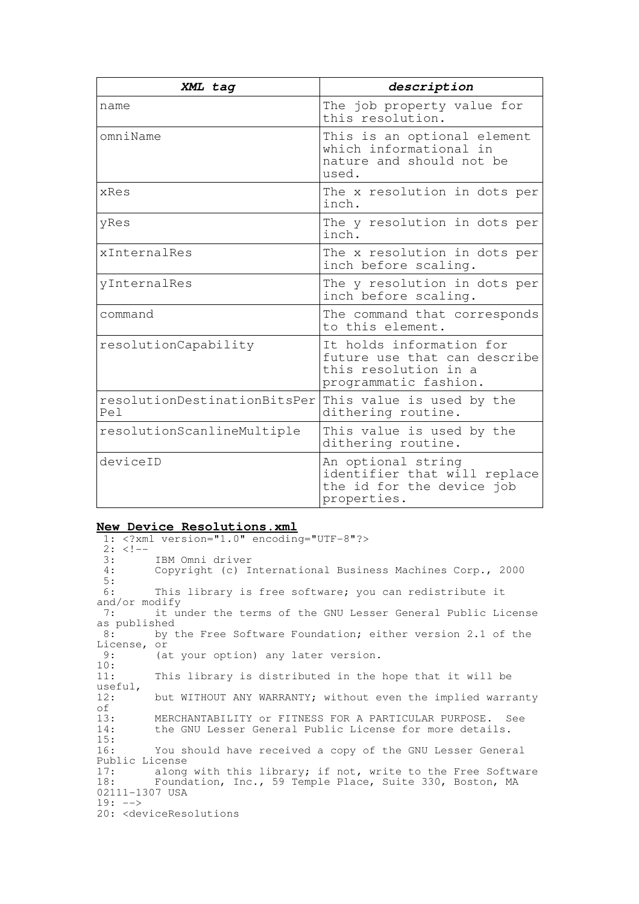| XML tag                              | description                                                                                               |
|--------------------------------------|-----------------------------------------------------------------------------------------------------------|
| name                                 | The job property value for<br>this resolution.                                                            |
| omniName                             | This is an optional element<br>which informational in<br>nature and should not be<br>used.                |
| xRes                                 | The x resolution in dots per<br>inch.                                                                     |
| yRes                                 | The y resolution in dots per<br>inch.                                                                     |
| xInternalRes                         | The x resolution in dots per<br>inch before scaling.                                                      |
| yInternalRes                         | The y resolution in dots per<br>inch before scaling.                                                      |
| command                              | The command that corresponds<br>to this element.                                                          |
| resolutionCapability                 | It holds information for<br>future use that can describe<br>this resolution in a<br>programmatic fashion. |
| resolutionDestinationBitsPer<br>Pe l | This value is used by the<br>dithering routine.                                                           |
| resolutionScanlineMultiple           | This value is used by the<br>dithering routine.                                                           |
| deviceID                             | An optional string<br>identifier that will replace<br>the id for the device job<br>properties.            |

#### **New Device Resolutions.xml**

1: <?xml version="1.0" encoding="UTF-8"?>  $2: <!--</math><br>3:$ 3: IBM Omni driver<br>4: Copyright (c) I Copyright (c) International Business Machines Corp., 2000  $\frac{5}{6}$ : This library is free software; you can redistribute it and/or modify<br>7: it u it under the terms of the GNU Lesser General Public License as published<br>8: by t by the Free Software Foundation; either version 2.1 of the License, or<br>9: (a (at your option) any later version.  $\frac{10}{11}$ : This library is distributed in the hope that it will be useful,<br>12: but WITHOUT ANY WARRANTY; without even the implied warranty of<br>13: 13: MERCHANTABILITY or FITNESS FOR A PARTICULAR PURPOSE. See<br>14: the GNU Lesser General Public License for more details. the GNU Lesser General Public License for more details.  $\frac{15}{16}$ : You should have received a copy of the GNU Lesser General Public License<br>17: along 17: along with this library; if not, write to the Free Software<br>18: Foundation Inc 59 Temple Place Suite 330 Boston MA Foundation, Inc., 59 Temple Place, Suite 330, Boston, MA 02111-1307 USA  $19: ---$ 20: <deviceResolutions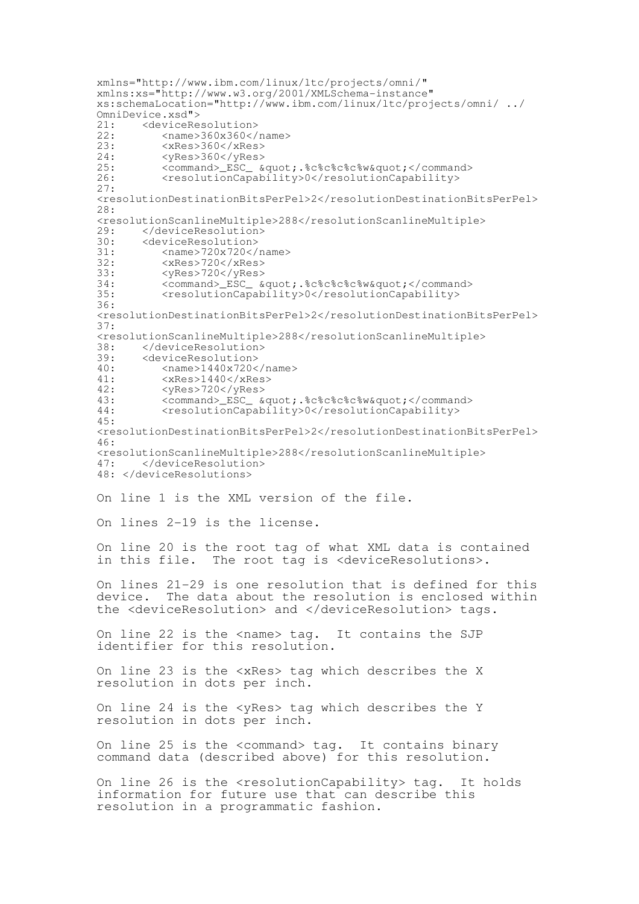```
xmlns="http://www.ibm.com/linux/ltc/projects/omni/"
xmlns:xs="http://www.w3.org/2001/XMLSchema-instance"
xs:schemaLocation="http://www.ibm.com/linux/ltc/projects/omni/ ../
OmnilPevice.xsd" ><br>21. OmrlP@R@21: <deviceResolution><br>22: <name>360x360</
22: <name>360x360</name>
23: <xRes>360</xRes>
24: <yRes>360</yRes>
25: <command>_ESC_ &quot; %c%c%c%c%w&quot;</command><br>26: <resolutionCapability>0</resolutionCapability>
          <resolutionCapability>0</resolutionCapability>
27:
<resolutionDestinationBitsPerPel>2</resolutionDestinationBitsPerPel>
28:
<resolutionScanlineMultiple>288</resolutionScanlineMultiple>
29: </deviceResolution><br>30: <deviceResolution>
30: <deviceResolution><br>31: <name>720x720</
31: <name>720x720</name>
          32: <xRes>720</xRes>
33: <yRes>720</yRes>
          <command>_ESC_ &quot;.%c%c%c%c%w&quot;</command>
35: <resolutionCapability>0</resolutionCapability>
36:
<resolutionDestinationBitsPerPel>2</resolutionDestinationBitsPerPel>
37:
<resolutionScanlineMultiple>288</resolutionScanlineMultiple>
38: </deviceResolution><br>39: <deviceResolution>
39: <deviceResolution><br>40: <name>1440x720<
          <name>1440x720</name>41: <xRes>1440</xRes>
42: <yRes>720</yRes>
43: <command>_ESC_ &quot; %c%c%c%c%w&quot;</command><br>44: <resolutionCapability>0</resolutionCapability>
          44: <resolutionCapability>0</resolutionCapability>
45:
<resolutionDestinationBitsPerPel>2</resolutionDestinationBitsPerPel>
46:
<resolutionScanlineMultiple>288</resolutionScanlineMultiple>
       </deviceResolution>
48: </deviceResolutions>
On line 1 is the XML version of the file.
On lines 2-19 is the license.
On line 20 is the root tag of what XML data is contained<br>in this file. The root tag is <deviceResolutions>.
                 The root tag is <deviceResolutions>.
On lines 21-29 is one resolution that is defined for this
device. The data about the resolution is enclosed within
the <deviceResolution> and </deviceResolution> tags.
On line 22 is the <name> tag. It contains the SJP
identifier for this resolution.
On line 23 is the <xRes> tag which describes the X
resolution in dots per inch.
On line 24 is the <yRes> tag which describes the Y
resolution in dots per inch.
On line 25 is the <command> tag. It contains binary
command data (described above) for this resolution.
On line 26 is the <resolutionCapability> tag. It holds
information for future use that can describe this
resolution in a programmatic fashion.
```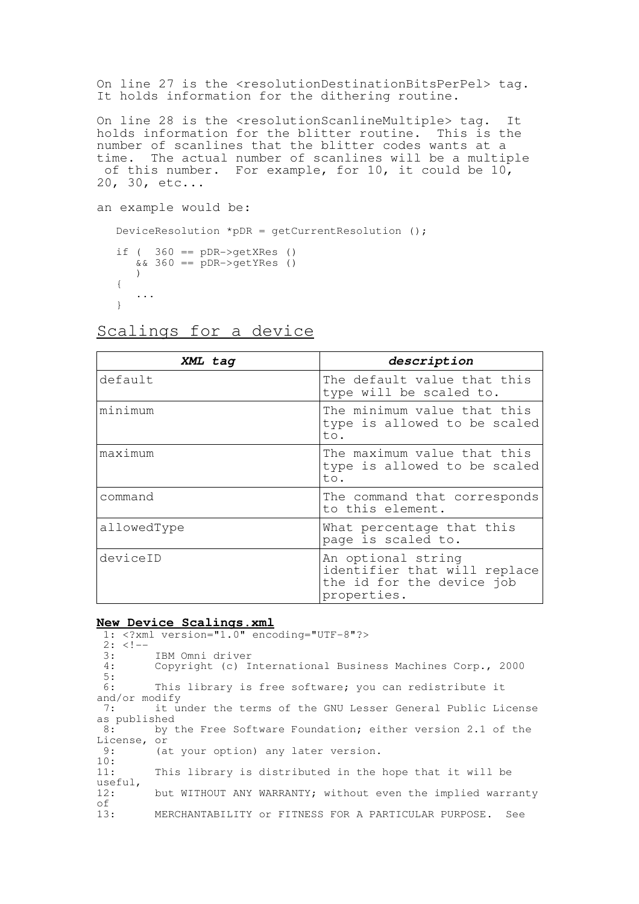On line 27 is the <resolutionDestinationBitsPerPel> tag. It holds information for the dithering routine.

On line 28 is the <resolutionScanlineMultiple> tag. It holds information for the blitter routine. This is the number of scanlines that the blitter codes wants at a time. The actual number of scanlines will be a multiple of this number. For example, for 10, it could be  $10<sub>r</sub>$ 20, 30, etc...

```
an example would be:
   DeviceResolution *pDR = qetCurrentResolution ();
   if ( 360 == pDR \rightarrow qetXRes ()
      & 360 == pDR \rightarrow qetYRes ()
      ){
       ...
   }
```

| XML tag     | description                                                                                    |
|-------------|------------------------------------------------------------------------------------------------|
| default     | The default value that this<br>type will be scaled to.                                         |
| minimum     | The minimum value that this<br>type is allowed to be scaled<br>to.                             |
| maximum     | The maximum value that this<br>type is allowed to be scaled<br>to.                             |
| command     | The command that corresponds<br>to this element.                                               |
| allowedType | What percentage that this<br>page is scaled to.                                                |
| deviceID    | An optional string<br>identifier that will replace<br>the id for the device job<br>properties. |

# Scalings for a device

#### **New Device Scalings.xml**

1: <?xml version="1.0" encoding="UTF-8"?>  $2: <!--</math><br>3:$ 3: IBM Omni driver<br>4: Copyright (c) I Copyright (c) International Business Machines Corp., 2000  $\frac{5}{6}$ : This library is free software; you can redistribute it and/or modify<br>7: it u it under the terms of the GNU Lesser General Public License as published<br>8: by t by the Free Software Foundation; either version 2.1 of the License, or<br>9: (a (at your option) any later version.  $\frac{10}{11}$ : This library is distributed in the hope that it will be useful,<br>12: but WITHOUT ANY WARRANTY; without even the implied warranty of<br>13: MERCHANTABILITY or FITNESS FOR A PARTICULAR PURPOSE. See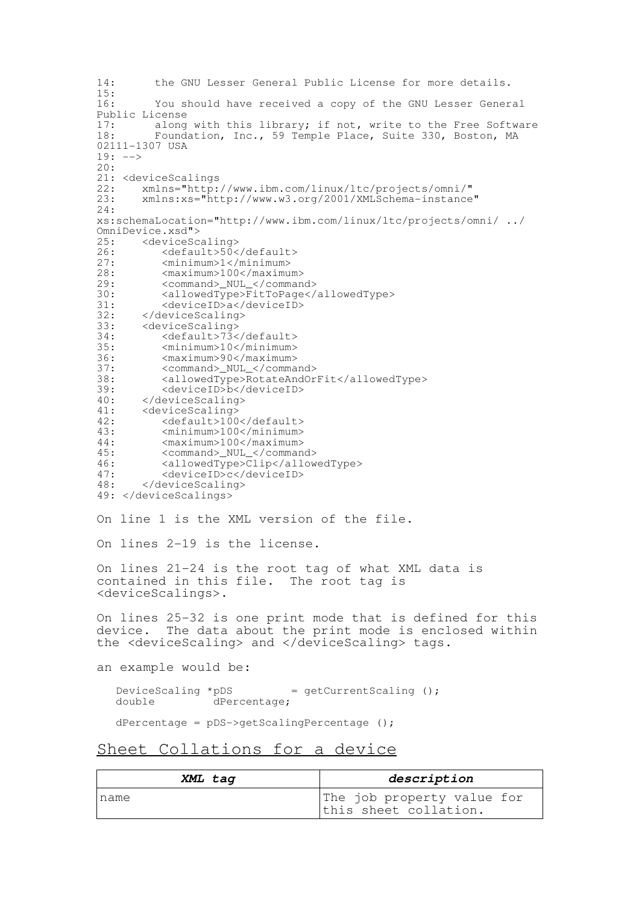14: the GNU Lesser General Public License for more details.  $\frac{15:}{16:}$ You should have received a copy of the GNU Lesser General Public License<br>17: along 17: along with this library; if not, write to the Free Software<br>18: Foundation, Inc., 59 Temple Place, Suite 330, Boston, MA Foundation, Inc., 59 Temple Place, Suite 330, Boston, MA 02111-1307 USA  $19: ---$ 20: 21: <deviceScalings<br>22: xmlns="http: 22: xmlns="http://www.ibm.com/linux/ltc/projects/omni/"<br>23: xmlns:xs="http://www.w3.org/2001/XMLSchema-instance 23: xmlns:xs="http://www.w3.org/2001/XMLSchema-instance"  $24:$ xs:schemaLocation="http://www.ibm.com/linux/ltc/projects/omni/ ../ OmniDevice.xsd"><br>25: <deviceSc 25: <deviceScaling><br>26: <default>50< 26: <default>50</default><br>27: <minimum>1</minimum> 27: <minimum>1</minimum> 28: <maximum>100</maximum><br>29: <command> NUL </comman <command>\_NUL\_</command> 30: <allowedType>FitToPage</allowedType><br>31: <deviceID>a</deviceID> 31: <deviceID>a</deviceID><br>32: </deviceScaling> 32: </deviceScaling><br>33: <deviceScaling> 33: <deviceScaling><br>34: <default>73< 34: <default>73</default><br>35: <minimum>10</minimum> 35:  $\langle \text{minimum} \rangle 10 \langle / \text{minimum} \rangle$ <br>36:  $\langle \text{maximum} \rangle 90 \langle / \text{maximum} \rangle$ 36:  $<$ maximum>90</maximum><br>37:  $<$ command>\_NUL\_</comma <command>\_NUL\_</command> 38: <allowedType>RotateAndOrFit</allowedType><br>39: <deviceID>b</deviceID> 39: <deviceID>b</deviceID><br>40: </deviceScaling> 40: </deviceScaling><br>41: <deviceScaling> 41: <deviceScaling><br>42: <default>100 42: <default>100</default><br>43: <minimum>100</minimum> 43:  $\langle \text{minimum} \rangle 100 \langle \text{minimum} \rangle$ <br>44:  $\langle \text{maximum} \rangle 100 \langle \text{maximum} \rangle$ 44:  $\langle \text{maximum} \rangle 100 \langle / \text{maximum} \rangle$ <br>45:  $\langle \text{command} \rangle \quad \text{NULL} \langle / \text{command} \rangle$ 45: <command>\_NUL\_</command><br>46: <allowedType>Clip</allow 46: <allowedType>Clip</allowedType><br>47: <deviceID>c</deviceID> 47: <deviceID>c</deviceID><br>48: </deviceScaling> </deviceScaling> 49: </deviceScalings> On line 1 is the XML version of the file. On lines 2-19 is the license. On lines 21-24 is the root tag of what XML data is contained in this file. The root tag is <deviceScalings>. On lines 25-32 is one print mode that is defined for this device. The data about the print mode is enclosed within the <deviceScaling> and </deviceScaling> tags. an example would be: DeviceScaling \*pDS = getCurrentScaling ();<br>double dPercentage;  $d$ Percentage; dPercentage = pDS->getScalingPercentage (); Sheet Collations for a device

| XML tag | description                                         |  |  |
|---------|-----------------------------------------------------|--|--|
| name    | The job property value for<br>this sheet collation. |  |  |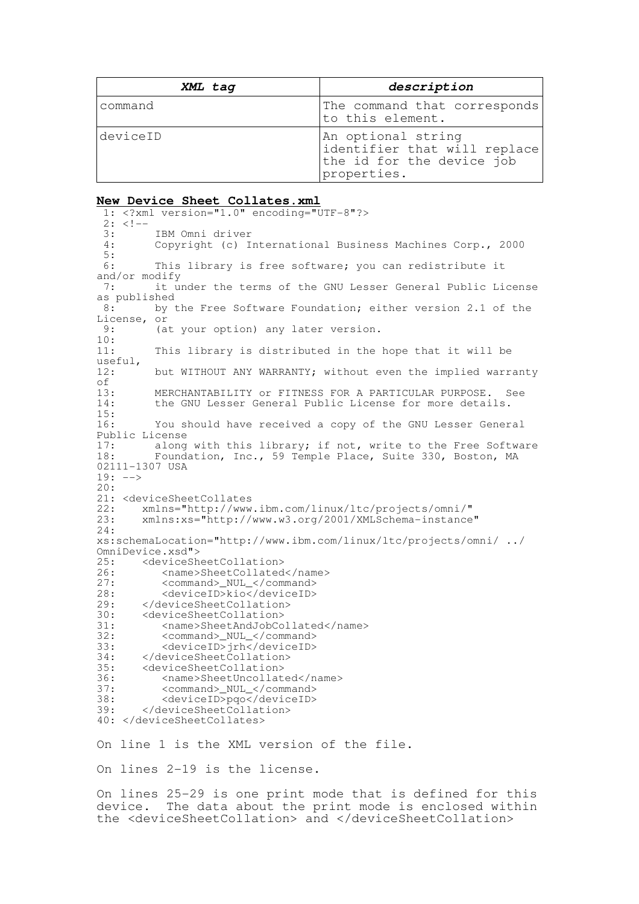| XML tag  | description                                                                                    |
|----------|------------------------------------------------------------------------------------------------|
| command  | The command that corresponds<br>to this element.                                               |
| deviceID | An optional string<br>identifier that will replace<br>the id for the device job<br>properties. |

#### **New Device Sheet Collates.xml**

1: <?xml version="1.0" encoding="UTF-8"?>  $2: <!--</math><br>3:$ 3: IBM Omni driver<br>4: Copyright (c) I Copyright (c) International Business Machines Corp., 2000  $\frac{5}{6}$ : This library is free software; you can redistribute it and/or modify<br> $7:$  it u it under the terms of the GNU Lesser General Public License as published<br>8: by by the Free Software Foundation; either version 2.1 of the License, or<br>9: (a (at your option) any later version.  $\frac{10}{11}$ : This library is distributed in the hope that it will be useful,<br>12: but WITHOUT ANY WARRANTY; without even the implied warranty of<br> $13:$ 13: MERCHANTABILITY or FITNESS FOR A PARTICULAR PURPOSE. See<br>14: the GNU Lesser General Public License for more details. the GNU Lesser General Public License for more details.  $\frac{15}{16}$ : You should have received a copy of the GNU Lesser General Public License 17: along with this library; if not, write to the Free Software 18: Foundation, Inc., 59 Temple Place, Suite 330, Boston, MA 02111-1307 USA  $19: ---$ 20: 21: <deviceSheetCollates<br>22: xmlns="http://www 22: xmlns="http://www.ibm.com/linux/ltc/projects/omni/"<br>23: xmlns:xs="http://www.w3.org/2001/XMLSchema-instance 23: xmlns:xs="http://www.w3.org/2001/XMLSchema-instance" 24: xs:schemaLocation="http://www.ibm.com/linux/ltc/projects/omni/ ../ OmniDevice.xsd"><br>25: <deviceSh 25: <deviceSheetCollation><br>26: <name>SheetCollated 26: <name>SheetCollated</name><br>27: <command> NUL </command> 27: <command>\_NUL\_</command><br>28: <deviceID>kio</deviceID> 28: <deviceID>kio</deviceID><br>29: </deviceSheetCollation> 29: </deviceSheetCollation><br>30: <deviceSheetCollation> 30: <deviceSheetCollation> 31: <name>SheetAndJobCollated</name><br>32: <command> NUL </command> 32: <command>\_NUL\_</command><br>33: <deviceID>jrh</deviceID> 33: <deviceID>jrh</deviceID> 34: </deviceSheetCollation> 35: <deviceSheetCollation> 36: <name>SheetUncollated</name><br>37: <command> NUL </command> 37: <command>\_NUL\_</command><br>38: <deviceID>pgo</deviceID> 38: <deviceID>pqo</deviceID> </deviceSheetCollation> 40: </deviceSheetCollates>

On line 1 is the XML version of the file.

On lines 2-19 is the license.

On lines 25-29 is one print mode that is defined for this device. The data about the print mode is enclosed within the <deviceSheetCollation> and </deviceSheetCollation>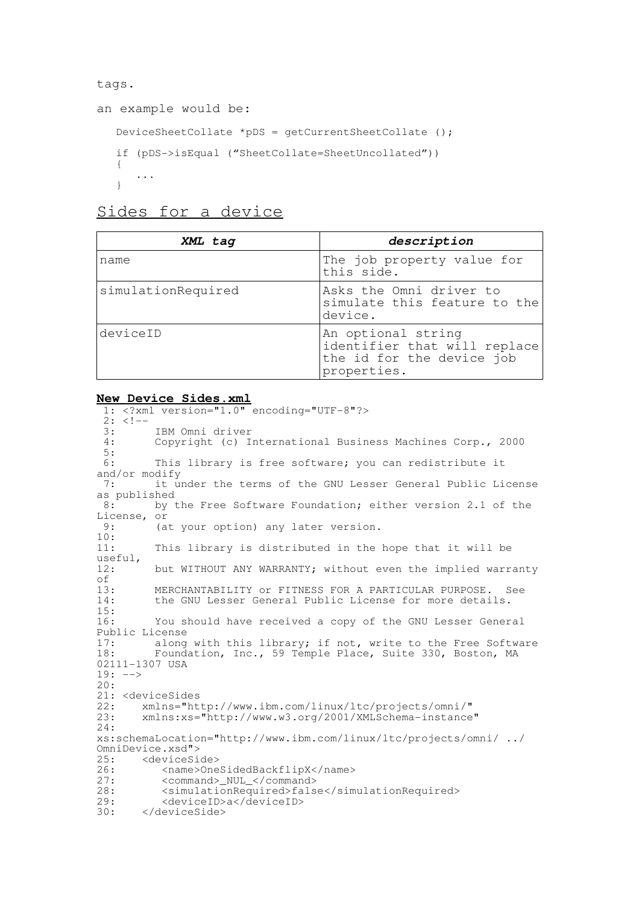```
tags.
```

```
an example would be:
   DeviceSheetCollate *pDS = getCurrentSheetCollate ();
   if (pDS->isEqual ("SheetCollate=SheetUncollated"))
   {
      ...
   }
```

|  | Sides for a device |
|--|--------------------|
|  |                    |

| XML tag            | description                                                                                    |
|--------------------|------------------------------------------------------------------------------------------------|
| name               | The job property value for<br>this side.                                                       |
| simulationRequired | Asks the Omni driver to<br>simulate this feature to the<br>device.                             |
| deviceID           | An optional string<br>identifier that will replace<br>the id for the device job<br>properties. |

### **New Device Sides.xml**

1: <?xml version="1.0" encoding="UTF-8"?>  $2: 2:-$ <br>3: 3: IBM Omni driver<br>4: Copyright (c) I Copyright (c) International Business Machines Corp., 2000  $\frac{5}{6}$ : This library is free software; you can redistribute it and/or modify 7: it under the terms of the GNU Lesser General Public License as published<br>8: by t by the Free Software Foundation; either version 2.1 of the License, or<br>9: (a (at your option) any later version.  $\frac{10}{11}$ : This library is distributed in the hope that it will be useful,<br>12: but WITHOUT ANY WARRANTY; without even the implied warranty of<br>13: 13: MERCHANTABILITY or FITNESS FOR A PARTICULAR PURPOSE. See<br>14: the GNU Lesser General Public License for more details. the GNU Lesser General Public License for more details.  $\frac{15}{16}$ You should have received a copy of the GNU Lesser General Public License<br>17: along 17: along with this library; if not, write to the Free Software<br>18: Foundation, Inc., 59 Temple Place, Suite 330, Boston, MA Foundation, Inc., 59 Temple Place, Suite 330, Boston, MA 02111-1307 USA  $19: ---$ 20: 21: <deviceSides<br>22: xmlns="ht 22: xmlns="http://www.ibm.com/linux/ltc/projects/omni/" 23: xmlns:xs="http://www.w3.org/2001/XMLSchema-instance" 24: xs:schemaLocation="http://www.ibm.com/linux/ltc/projects/omni/ ../ OmniDevice.xsd"><br>25: <deviceSi 25: <deviceSide><br>26: <mame>One 26: <name>OneSidedBackflipX</name><br>27: <command> NUL </command> 27: <command>\_NUL\_</command><br>28: <simulationRequired>fals <simulationRequired>false</simulationRequired> 29: <deviceID>a</deviceID><br>30: </deviceSide> </deviceSide>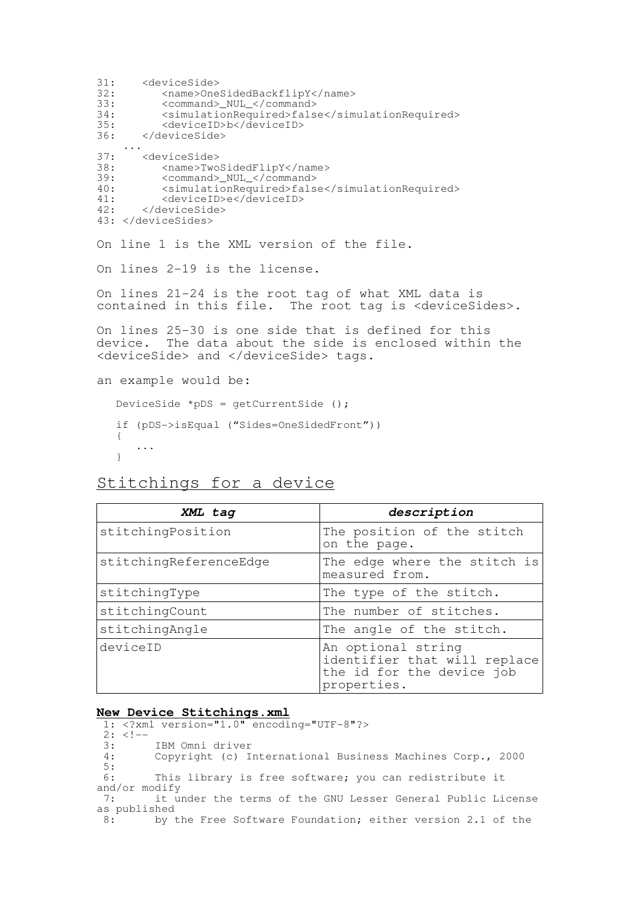31: <deviceSide><br>32: <mame>One 32: <name>OneSidedBackflipY</name><br>33: <command> NUL </command> 33: <command>\_NUL\_</command> 34: <simulationRequired>false</simulationRequired><br>35: <deviceID>b</deviceID> 35: <deviceID>b</deviceID><br>36: </deviceSide> 36: </deviceSide> ... 37: <deviceSide><br>38: <mame>Two 38: <name>TwoSidedFlipY</name><br>39: <command> NUL </command> 39: <command>\_NUL\_</command><br>40: <simulationRequired>fals 40: <simulationRequired>false</simulationRequired><br>41: <deviceID>e</deviceID> 41: <deviceID>e</deviceID><br>42: </deviceSide> 42: </deviceSide> 43: </deviceSides> On line 1 is the XML version of the file. On lines 2-19 is the license. On lines 21-24 is the root tag of what XML data is contained in this file. The root tag is <deviceSides>. On lines 25-30 is one side that is defined for this device. The data about the side is enclosed within the <deviceSide> and </deviceSide> tags. an example would be: DeviceSide \*pDS = getCurrentSide (); if (pDS->isEqual ("Sides=OneSidedFront"))

Stitchings for a device

{

}

...

| XML tag                | description                                                                                    |
|------------------------|------------------------------------------------------------------------------------------------|
| stitchingPosition      | The position of the stitch<br>on the page.                                                     |
| stitchingReferenceEdge | The edge where the stitch is<br>measured from.                                                 |
| stitchingType          | The type of the stitch.                                                                        |
| stitchingCount         | The number of stitches.                                                                        |
| stitchingAngle         | The angle of the stitch.                                                                       |
| deviceID               | An optional string<br>identifier that will replace<br>the id for the device job<br>properties. |

### **New Device Stitchings.xml**

1: <?xml version="1.0" encoding="UTF-8"?>  $2: 2:-$ 3: IBM Omni driver<br>4: Copyright (c) I Copyright (c) International Business Machines Corp., 2000 5: 6: This library is free software; you can redistribute it and/or modify<br>7: it u it under the terms of the GNU Lesser General Public License as published<br> $\frac{8}{10}$  by t by the Free Software Foundation; either version 2.1 of the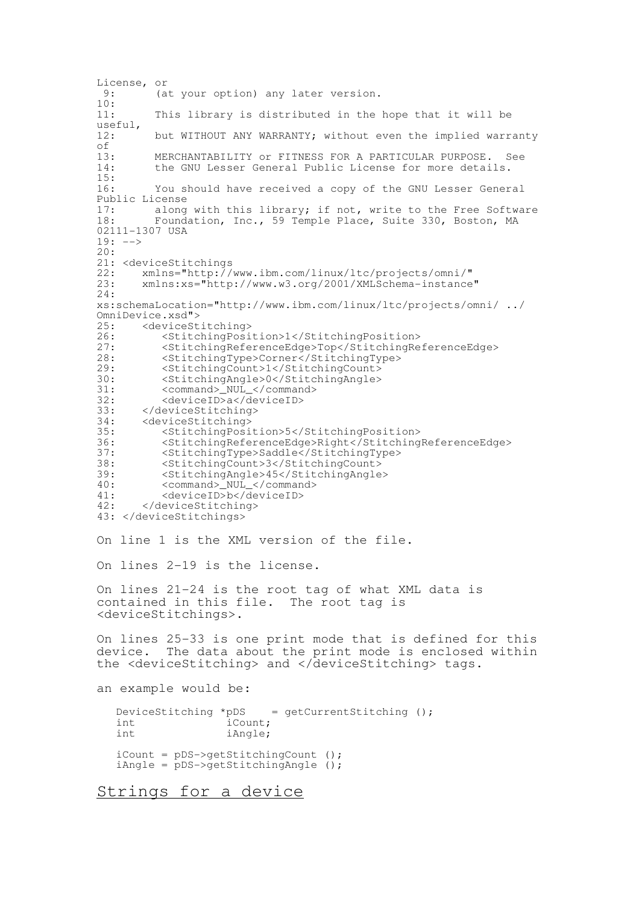License, or<br>9: (a (at your option) any later version.  $\frac{10}{11}$ : This library is distributed in the hope that it will be useful,<br>12: but WITHOUT ANY WARRANTY; without even the implied warranty of<br>13: 13: MERCHANTABILITY or FITNESS FOR A PARTICULAR PURPOSE. See<br>14: the GNU Lesser General Public License for more details. the GNU Lesser General Public License for more details. 15: 16: You should have received a copy of the GNU Lesser General Public License<br>17: along 17: along with this library; if not, write to the Free Software<br>18: Foundation. Inc.. 59 Temple Place. Suite 330, Boston, MA Foundation, Inc., 59 Temple Place, Suite 330, Boston, MA 02111-1307 USA  $19: ---$ 20: 21: <deviceStitchings 22: xmlns="http://www.ibm.com/linux/ltc/projects/omni/" 23: xmlns:xs="http://www.w3.org/2001/XMLSchema-instance" 24: xs:schemaLocation="http://www.ibm.com/linux/ltc/projects/omni/ ../ OmniDevice.xsd"><br>25: <deviceSt 25: <deviceStitching><br>26: <br/> <stitchingPosi 26: <StitchingPosition>1</StitchingPosition> 27: <StitchingReferenceEdge>Top</StitchingReferenceEdge> 28: <StitchingType>Corner</StitchingType><br>29: <StitchingCount>1</StitchingCount> <StitchingCount>1</StitchingCount> 30: <StitchingAngle>0</StitchingAngle> 31: <command>\_NUL\_</command><br>32: <deviceID>a</deviceID> 32: <deviceID>a</deviceID> 33: </deviceStitching><br>34: <deviceStitching> 34: <deviceStitching> 35: <StitchingPosition>5</StitchingPosition> 36: <StitchingReferenceEdge>Right</StitchingReferenceEdge> 37: <StitchingType>Saddle</StitchingType> 38: <StitchingCount>3</StitchingCount> 39: <StitchingAngle>45</StitchingAngle> 40: <command>\_NUL\_</command> 41: <deviceID>b</deviceID> 42: </deviceStitching> 43: </deviceStitchings> On line 1 is the XML version of the file. On lines 2-19 is the license. On lines 21-24 is the root tag of what XML data is contained in this file. The root tag is <deviceStitchings>. On lines 25-33 is one print mode that is defined for this device. The data about the print mode is enclosed within the <deviceStitching> and </deviceStitching> tags. an example would be: DeviceStitching \*pDS = getCurrentStitching ();<br>int iCount; int iCount;<br>int iAngle: iAngle; iCount = pDS->getStitchingCount (); iAngle = pDS->getStitchingAngle ();

Strings for a device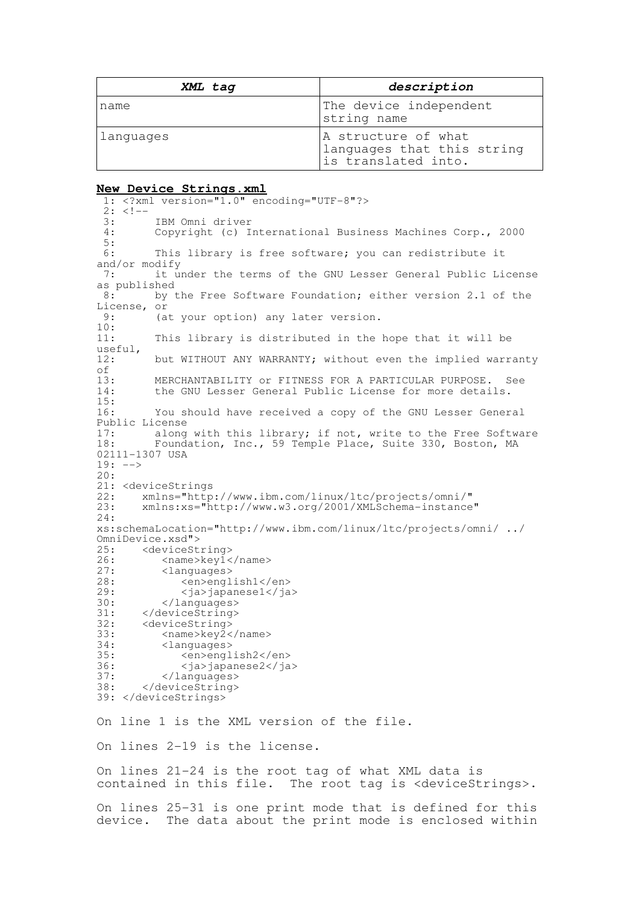| XML tag   | description                                                              |  |
|-----------|--------------------------------------------------------------------------|--|
| name      | The device independent<br>string name                                    |  |
| Languages | A structure of what<br>languages that this string<br>is translated into. |  |

#### **New Device Strings.xml**

```
1: <?xml version="1.0" encoding="UTF-8"?>
 2: 2:-3: IBM Omni driver<br>4: Copyright (c) I
           Copyright (c) International Business Machines Corp., 2000
 \frac{5}{6}:
           This library is free software; you can redistribute it
and/or modify<br>7: \begin{array}{c} \n\text{int u} \\
\text{int u}\n\end{array}it under the terms of the GNU Lesser General Public License
as published<br>8: by
           by the Free Software Foundation; either version 2.1 of the
License, or<br>9: (a
           (at your option) any later version.
\frac{10}{11}:
           This library is distributed in the hope that it will be
useful,<br>12:
           but WITHOUT ANY WARRANTY; without even the implied warranty
of<br>13:
13: MERCHANTABILITY or FITNESS FOR A PARTICULAR PURPOSE. See<br>14: the GNU Lesser General Public License for more details.
           the GNU Lesser General Public License for more details.
\frac{15}{16}:
           You should have received a copy of the GNU Lesser General
Public License<br>17: along
17: along with this library; if not, write to the Free Software<br>18: Foundation, Inc., 59 Temple Place, Suite 330, Boston, MA
           Foundation, Inc., 59 Temple Place, Suite 330, Boston, MA
02111-1307 USA
19: ---20:
21: <deviceStrings<br>22: xmlns="http
22: xmlns="http://www.ibm.com/linux/ltc/projects/omni/"
         23: xmlns:xs="http://www.w3.org/2001/XMLSchema-instance"
24:
xs:schemaLocation="http://www.ibm.com/linux/ltc/projects/omni/ ../
OmniDevice.xsd"><br>25: <deviceSt
25: <deviceString><br>26: <mame>kev1<
26: <name>key1</name><br>27: <languages>
27: <languages><br>28: <en>engl
28: <en>english1</en><br>
29: <ia>iapanese1</ia
29:  \langleja>japanese1</ja><br>30:  \langle/languages>
30: </languages><br>31: </deviceString>
31: </deviceString><br>32: <deviceString>
32: <deviceString><br>33: <name>key2<
33: <name>key2</name><br>34: <languages>
34: <languages><br>35: <en>engl
35: <en>english2</en><br>36: <ia>iapanese2</ia
36: <ja>japanese2</ja>
37: </languages><br>38: </deviceString>
         38: </deviceString>
39: </deviceStrings>
On line 1 is the XML version of the file.
On lines 2-19 is the license.
On lines 21-24 is the root tag of what XML data is
contained in this file. The root tag is <deviceStrings>.
```
On lines 25-31 is one print mode that is defined for this device. The data about the print mode is enclosed within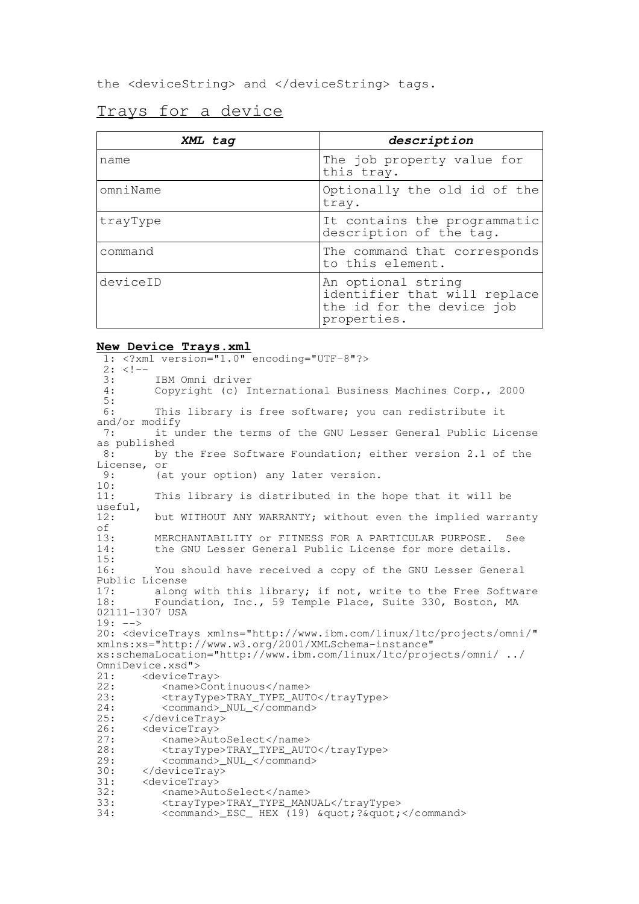the <deviceString> and </deviceString> tags.

## Trays for a device

| XML tag  | description                                                                                    |
|----------|------------------------------------------------------------------------------------------------|
| name     | The job property value for<br>this tray.                                                       |
| omniName | Optionally the old id of the<br>tray.                                                          |
| trayType | It contains the programmatic<br>description of the tag.                                        |
| command  | The command that corresponds<br>to this element.                                               |
| deviceID | An optional string<br>identifier that will replace<br>the id for the device job<br>properties. |

### **New Device Trays.xml**

1: <?xml version="1.0" encoding="UTF-8"?>  $2: <!--</math><br>3:$ IBM Omni driver 4: Copyright (c) International Business Machines Corp., 2000 5: 6: This library is free software; you can redistribute it and/or modify 7: it under the terms of the GNU Lesser General Public License as published<br>8: by t by the Free Software Foundation; either version 2.1 of the License, or<br>9:  $(a - b)$ (at your option) any later version. 10: 11: This library is distributed in the hope that it will be useful, 12: but WITHOUT ANY WARRANTY; without even the implied warranty of<br> $13:$ 13: MERCHANTABILITY or FITNESS FOR A PARTICULAR PURPOSE. See<br>14: the GNU Lesser General Public License for more details. the GNU Lesser General Public License for more details.  $\frac{15}{16}$ : You should have received a copy of the GNU Lesser General Public License<br>17: along 17: along with this library; if not, write to the Free Software<br>18: Foundation, Inc., 59 Temple Place, Suite 330, Boston, MA Foundation, Inc., 59 Temple Place, Suite 330, Boston, MA 02111-1307 USA 19: --> 20: <deviceTrays xmlns="http://www.ibm.com/linux/ltc/projects/omni/" xmlns:xs="http://www.w3.org/2001/XMLSchema-instance" xs:schemaLocation="http://www.ibm.com/linux/ltc/projects/omni/ ../ OmniDevice.xsd"><br>21: <deviceTr 21: <deviceTray><br>22: <name>Con 22: <name>Continuous</name><br>23: <travType>TRAY\_TYPE\_AUT 23:  $\langle \text{trayType} \rangle$ TRAY\_TYPE\_AUTO</trayType><br>24:  $\langle \text{command} \rangle$  NUL  $\langle \text{command} \rangle$ 24: <command>\_NUL\_</command><br>25: </deviceTrav> 25: </deviceTray><br>26: <deviceTray> 26: <deviceTray><br>27: <mame>Aut 27: <name>AutoSelect</name><br>28: <travTvpe>TRAY\_TYPE\_AUT 28: <trayType>TRAY\_TYPE\_AUTO</trayType><br>29: <command> NUL </command> 29: <command>\_NUL\_</command><br>30: </deviceTrav> 30: </deviceTray><br>31: <deviceTray> 31: <deviceTray><br>32: <name>Aut 32: <name>AutoSelect</name><br>33: <travTvpe>TRAY TYPE MAN 33: <trayType>TRAY\_TYPE\_MANUAL</trayType><br>34: <command> ESC HEX (19) &quot:?&quot: <command> ESC HEX (19) &quot;? &quot;</command>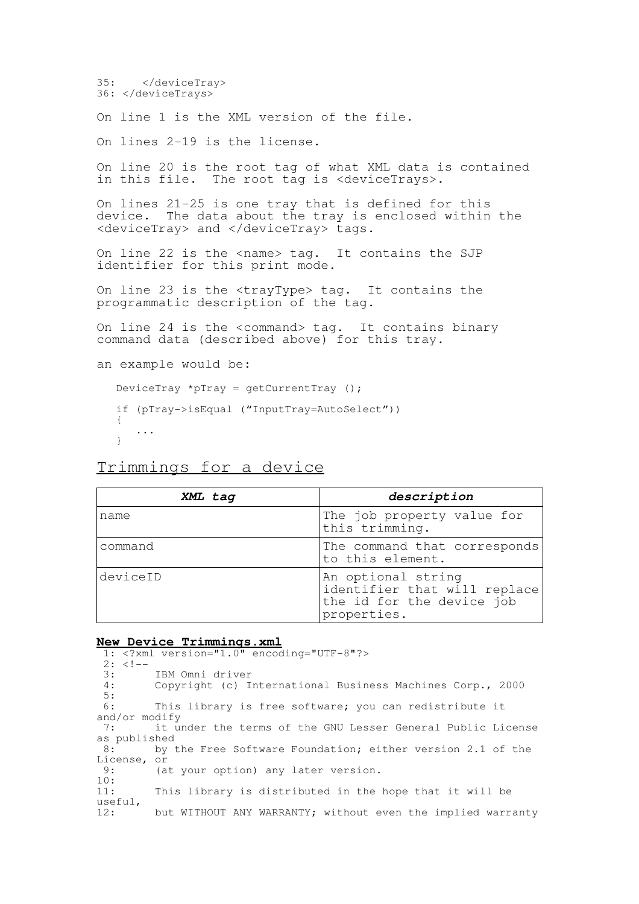35: </deviceTray> 36: </deviceTrays>

On line 1 is the XML version of the file.

On lines 2-19 is the license.

On line 20 is the root tag of what XML data is contained in this file. The root tag is <deviceTrays>.

On lines 21-25 is one tray that is defined for this device. The data about the tray is enclosed within the <deviceTray> and </deviceTray> tags.

On line 22 is the <name> tag. It contains the SJP identifier for this print mode.

On line 23 is the <trayType> tag. It contains the programmatic description of the tag.

On line 24 is the <command> tag. It contains binary command data (described above) for this tray.

```
an example would be:
```

```
DeviceTray *pTray = getCurrentTray ();
if (pTray->isEqual ("InputTray=AutoSelect"))
{
   ...
}
```
# Trimmings for a device

| XML tag  | description                                                                                    |  |
|----------|------------------------------------------------------------------------------------------------|--|
| name     | The job property value for<br>this trimming.                                                   |  |
| command  | The command that corresponds<br>to this element.                                               |  |
| deviceID | An optional string<br>identifier that will replace<br>the id for the device job<br>properties. |  |

#### **New Device Trimmings.xml**

1: <?xml version="1.0" encoding="UTF-8"?>  $2: 2:-$ <br>3: 3: IBM Omni driver<br>4. Convright (c) I Copyright (c) International Business Machines Corp., 2000 5: 6: This library is free software; you can redistribute it and/or modify 7: it under the terms of the GNU Lesser General Public License as published<br>8: by by the Free Software Foundation; either version 2.1 of the License, or 9: (at your option) any later version.  $\frac{10}{11}$ : This library is distributed in the hope that it will be useful, 12: but WITHOUT ANY WARRANTY; without even the implied warranty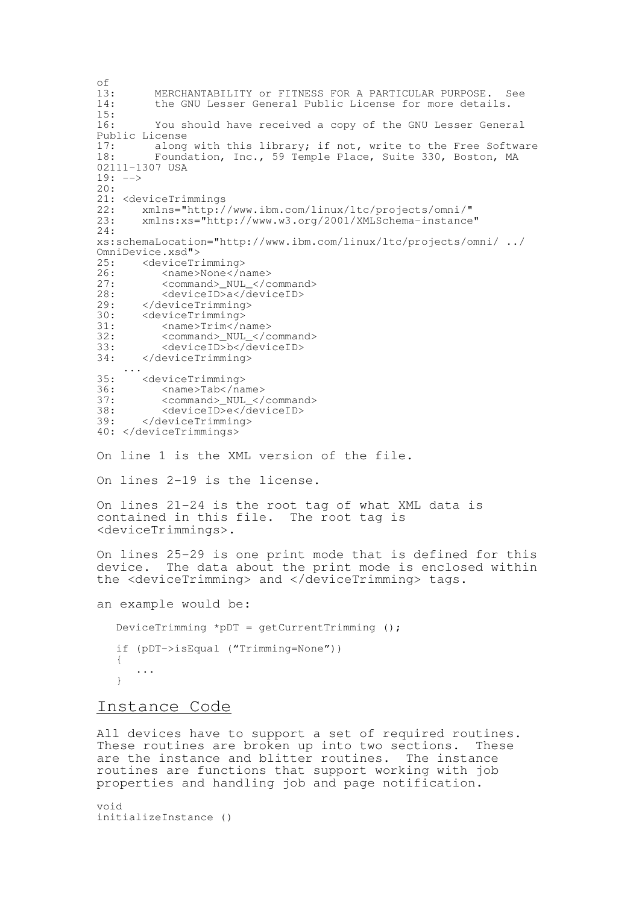of<br>13: 13: MERCHANTABILITY or FITNESS FOR A PARTICULAR PURPOSE. See<br>14: the GNU Lesser General Public License for more details. the GNU Lesser General Public License for more details.  $\frac{15}{16}$ : You should have received a copy of the GNU Lesser General Public License 17: along with this library; if not, write to the Free Software<br>18: Foundation, Inc., 59 Temple Place, Suite 330, Boston, MA Foundation, Inc., 59 Temple Place, Suite 330, Boston, MA 02111-1307 USA  $19: ---$ 20: 21: <deviceTrimmings<br>22: xmlns="http:/ 22: xmlns="http://www.ibm.com/linux/ltc/projects/omni/"<br>23: xmlns:xs="http://www.w3.org/2001/XMLSchema-instance 23: xmlns:xs="http://www.w3.org/2001/XMLSchema-instance" 24: xs:schemaLocation="http://www.ibm.com/linux/ltc/projects/omni/ ../ OmniDevice.xsd"><br>25: <deviceTr 25: <deviceTrimming> 26: <name>None</name><br>27: <command> NUL </c <command>\_NUL\_</command> 28: <deviceID>a</deviceID><br>29: </deviceTrimming> 29: </deviceTrimming><br>30: <deviceTrimming> 30: <deviceTrimming><br>31: <name>Trim</n 31: <name>Trim</name><br>32: <command>\_NUL\_</c 32: <command>\_NUL\_</command><br>33: <deviceID>b</deviceID> 33: <deviceID>b</deviceID><br>34: </deviceTrimming> 34: </deviceTrimming> ... 35: <deviceTrimming><br>36: <name>Tab</na 36: <name>Tab</name><br>37: <command> NUL </ 37: <command>\_NUL\_</command><br>38: <deviceID>e</deviceID> 38: <deviceID>e</deviceID><br>39: </deviceTrimming> 39: </deviceTrimming> 40: </deviceTrimmings> On line 1 is the XML version of the file. On lines 2-19 is the license. On lines 21-24 is the root tag of what XML data is contained in this file. The root tag is <deviceTrimmings>. On lines 25-29 is one print mode that is defined for this device. The data about the print mode is enclosed within the <deviceTrimming> and </deviceTrimming> tags. an example would be: DeviceTrimming \*pDT = getCurrentTrimming (); if (pDT->isEqual ("Trimming=None")) { ... }

### Instance Code

All devices have to support a set of required routines. These routines are broken up into two sections. These are the instance and blitter routines. The instance routines are functions that support working with job properties and handling job and page notification.

void initializeInstance ()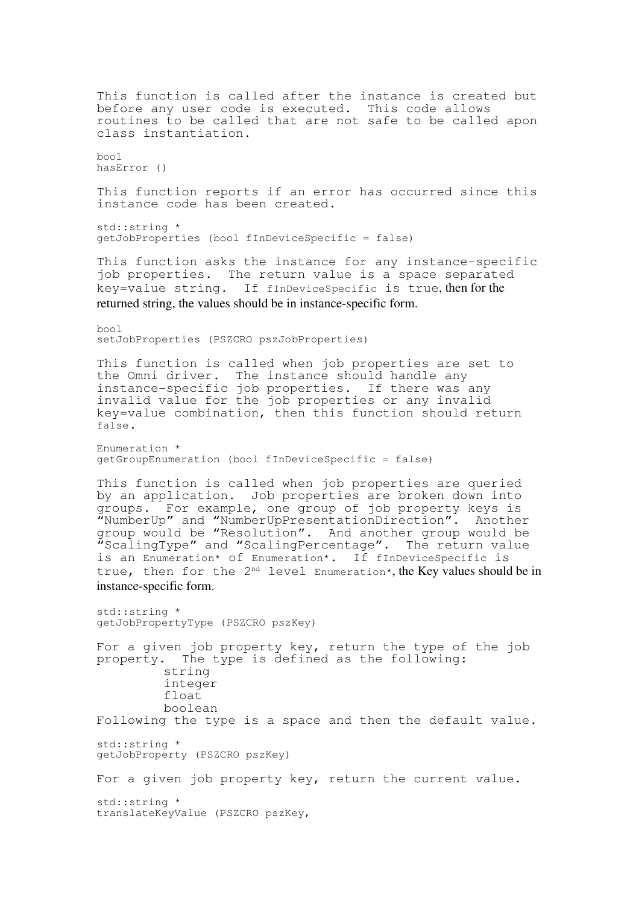This function is called after the instance is created but before any user code is executed. This code allows routines to be called that are not safe to be called apon class instantiation. bool hasError () This function reports if an error has occurred since this instance code has been created. std::string \* getJobProperties (bool fInDeviceSpecific = false) This function asks the instance for any instance-specific job properties. The return value is a space separated key=value string. If fInDeviceSpecific is true, then for the returned string, the values should be in instance-specific form. bool setJobProperties (PSZCRO pszJobProperties) This function is called when job properties are set to the Omni driver. The instance should handle any instance-specific job properties. If there was any invalid value for the job properties or any invalid key=value combination, then this function should return false. Enumeration \* getGroupEnumeration (bool fInDeviceSpecific = false) This function is called when job properties are queried by an application. Job properties are broken down into groups. For example, one group of job property keys is "NumberUp" and "NumberUpPresentationDirection". Another group would be "Resolution". And another group would be "Resolution". And another group would be<br>"ScalingType" and "ScalingPercentage". The return value  $"$ ScalingType" and "ScalingPercentage". is an Enumeration\* of Enumeration\*. If fInDeviceSpecific is true, then for the 2<sup>nd</sup> level Enumeration\*, the Key values should be in instance-specific form. std::string \* getJobPropertyType (PSZCRO pszKey) For a given job property key, return the type of the job property. The type is defined as the following: string integer float boolean Following the type is a space and then the default value. std::string \* getJobProperty (PSZCRO pszKey) For a given job property key, return the current value. std::string \* translateKeyValue (PSZCRO pszKey,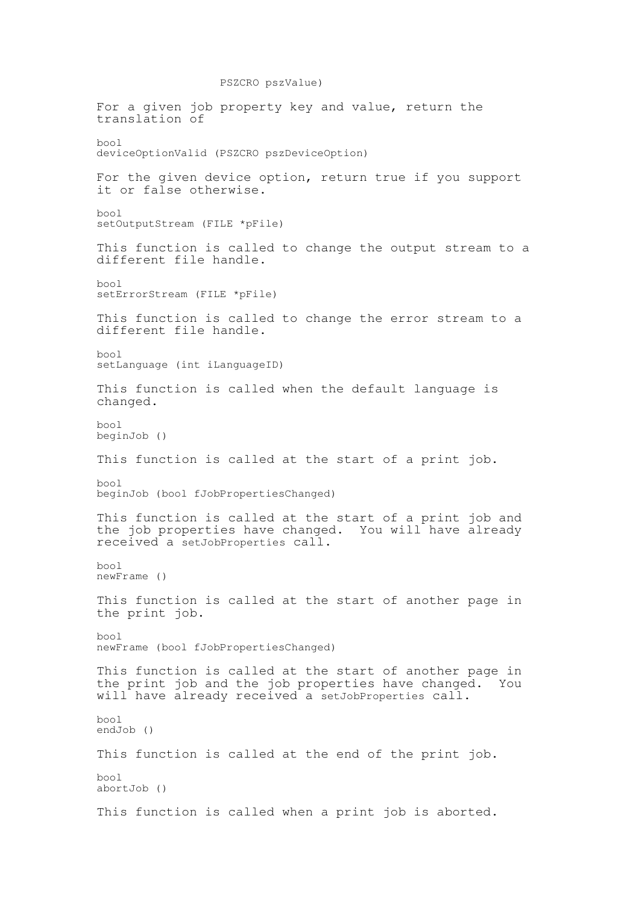PSZCRO pszValue) For a given job property key and value, return the translation of bool deviceOptionValid (PSZCRO pszDeviceOption) For the given device option, return true if you support it or false otherwise. bool setOutputStream (FILE \*pFile) This function is called to change the output stream to a different file handle. bool setErrorStream (FILE \*pFile) This function is called to change the error stream to a different file handle. bool setLanguage (int iLanguageID) This function is called when the default language is changed. bool beginJob () This function is called at the start of a print job. bool beginJob (bool fJobPropertiesChanged) This function is called at the start of a print job and the job properties have changed. You will have already received a setJobProperties call. bool newFrame () This function is called at the start of another page in the print job. bool newFrame (bool fJobPropertiesChanged) This function is called at the start of another page in the print job and the job properties have changed. You will have already received a setJobProperties call. bool endJob () This function is called at the end of the print job. bool abortJob () This function is called when a print job is aborted.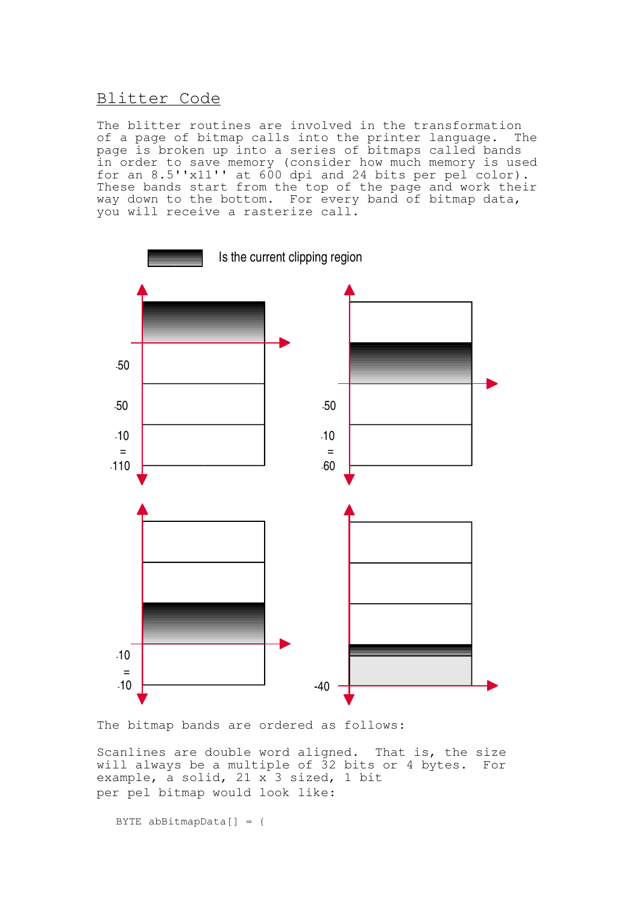# Blitter Code

The blitter routines are involved in the transformation of a page of bitmap calls into the printer language. The page is broken up into a series of bitmaps called bands in order to save memory (consider how much memory is used for an 8.5''x11'' at 600 dpi and 24 bits per pel color). These bands start from the top of the page and work their way down to the bottom. For every band of bitmap data, you will receive a rasterize call.



The bitmap bands are ordered as follows:

Scanlines are double word aligned. That is, the size will always be a multiple of 32 bits or 4 bytes. For example, a solid, 21 x 3 sized, 1 bit per pel bitmap would look like:

BYTE abBitmapData $[$ ] = {